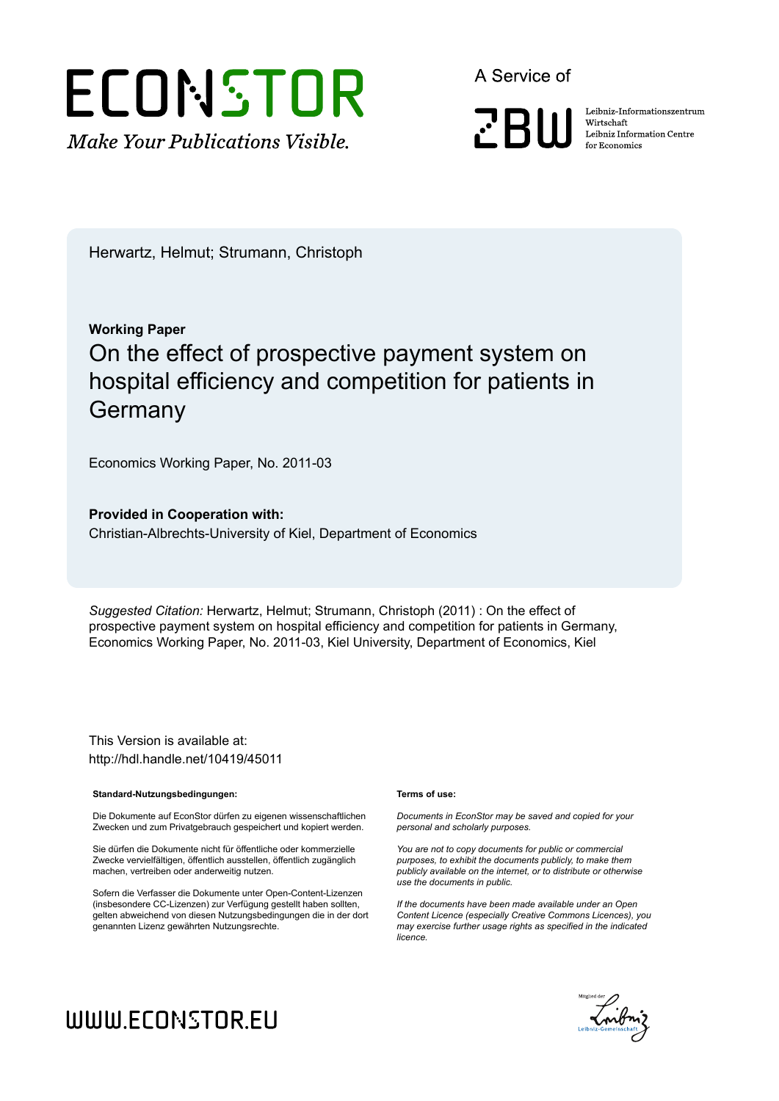# ECONSTOR **Make Your Publications Visible.**

A Service of

**PRIII** 

Leibniz Informationszentrum Wirtschaft Leibniz Information Centre for Economics

Herwartz, Helmut; Strumann, Christoph

## **Working Paper** On the effect of prospective payment system on hospital efficiency and competition for patients in **Germany**

Economics Working Paper, No. 2011-03

**Provided in Cooperation with:** Christian-Albrechts-University of Kiel, Department of Economics

*Suggested Citation:* Herwartz, Helmut; Strumann, Christoph (2011) : On the effect of prospective payment system on hospital efficiency and competition for patients in Germany, Economics Working Paper, No. 2011-03, Kiel University, Department of Economics, Kiel

This Version is available at: http://hdl.handle.net/10419/45011

#### **Standard-Nutzungsbedingungen:**

Die Dokumente auf EconStor dürfen zu eigenen wissenschaftlichen Zwecken und zum Privatgebrauch gespeichert und kopiert werden.

Sie dürfen die Dokumente nicht für öffentliche oder kommerzielle Zwecke vervielfältigen, öffentlich ausstellen, öffentlich zugänglich machen, vertreiben oder anderweitig nutzen.

Sofern die Verfasser die Dokumente unter Open-Content-Lizenzen (insbesondere CC-Lizenzen) zur Verfügung gestellt haben sollten, gelten abweichend von diesen Nutzungsbedingungen die in der dort genannten Lizenz gewährten Nutzungsrechte.

#### **Terms of use:**

*Documents in EconStor may be saved and copied for your personal and scholarly purposes.*

*You are not to copy documents for public or commercial purposes, to exhibit the documents publicly, to make them publicly available on the internet, or to distribute or otherwise use the documents in public.*

*If the documents have been made available under an Open Content Licence (especially Creative Commons Licences), you may exercise further usage rights as specified in the indicated licence.*



## WWW.ECONSTOR.EU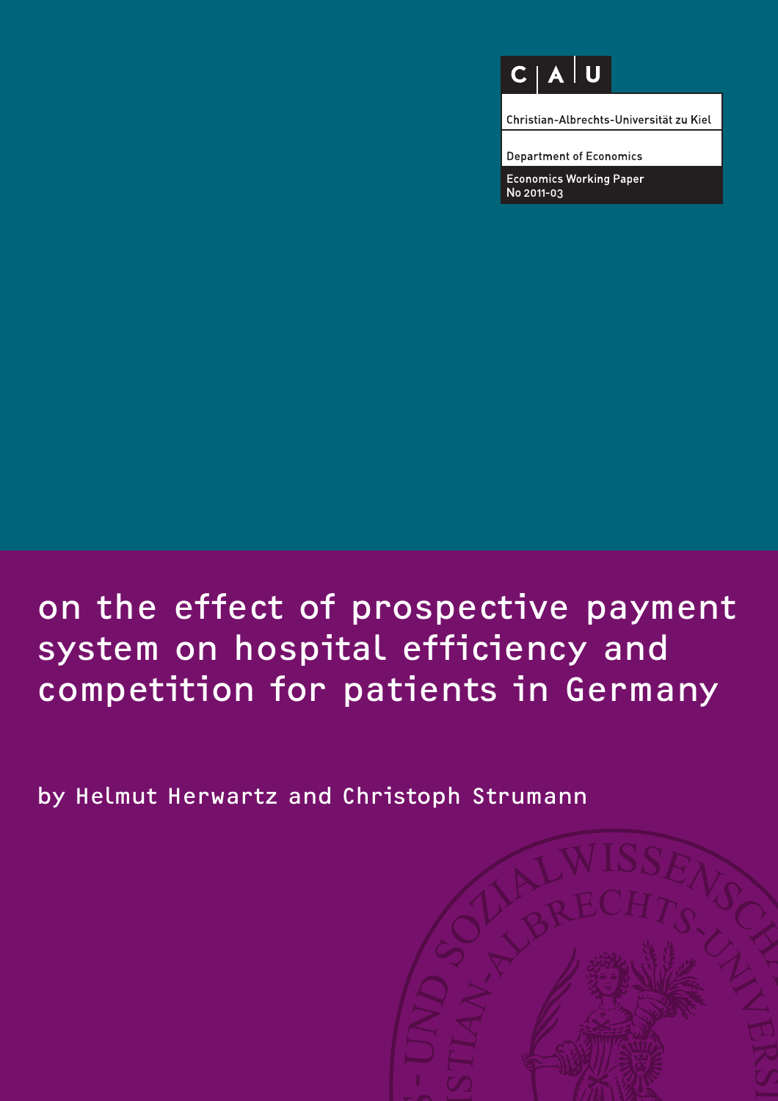## $C | A | U$

Christian-Albrechts-Universität zu Kiel

**Department of Economics** 

**Economics Working Paper** No 2011-03

## on the effect of prospective payment system on hospital efficiency and competition for patients in Germany

by Helmut Herwartz and Christoph Strumann

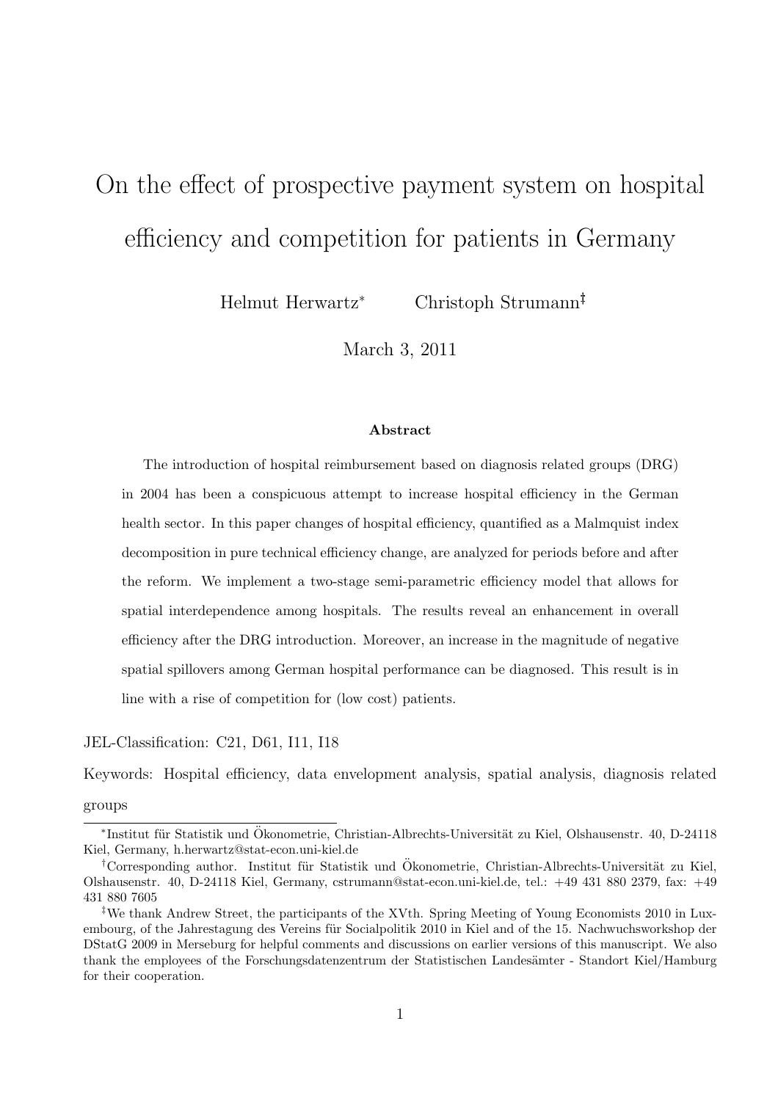# On the effect of prospective payment system on hospital efficiency and competition for patients in Germany

Helmut Herwartz<sup>∗</sup> Christoph Strumann†‡

March 3, 2011

#### Abstract

The introduction of hospital reimbursement based on diagnosis related groups (DRG) in 2004 has been a conspicuous attempt to increase hospital efficiency in the German health sector. In this paper changes of hospital efficiency, quantified as a Malmquist index decomposition in pure technical efficiency change, are analyzed for periods before and after the reform. We implement a two-stage semi-parametric efficiency model that allows for spatial interdependence among hospitals. The results reveal an enhancement in overall efficiency after the DRG introduction. Moreover, an increase in the magnitude of negative spatial spillovers among German hospital performance can be diagnosed. This result is in line with a rise of competition for (low cost) patients.

JEL-Classification: C21, D61, I11, I18

Keywords: Hospital efficiency, data envelopment analysis, spatial analysis, diagnosis related

groups

<sup>\*</sup>Institut für Statistik und Ökonometrie, Christian-Albrechts-Universität zu Kiel, Olshausenstr. 40, D-24118 Kiel, Germany, h.herwartz@stat-econ.uni-kiel.de

<sup>†</sup>Corresponding author. Institut für Statistik und Ökonometrie, Christian-Albrechts-Universität zu Kiel, Olshausenstr. 40, D-24118 Kiel, Germany, cstrumann@stat-econ.uni-kiel.de, tel.: +49 431 880 2379, fax: +49 431 880 7605

<sup>‡</sup>We thank Andrew Street, the participants of the XVth. Spring Meeting of Young Economists 2010 in Luxembourg, of the Jahrestagung des Vereins für Socialpolitik 2010 in Kiel and of the 15. Nachwuchsworkshop der DStatG 2009 in Merseburg for helpful comments and discussions on earlier versions of this manuscript. We also thank the employees of the Forschungsdatenzentrum der Statistischen Landes¨amter - Standort Kiel/Hamburg for their cooperation.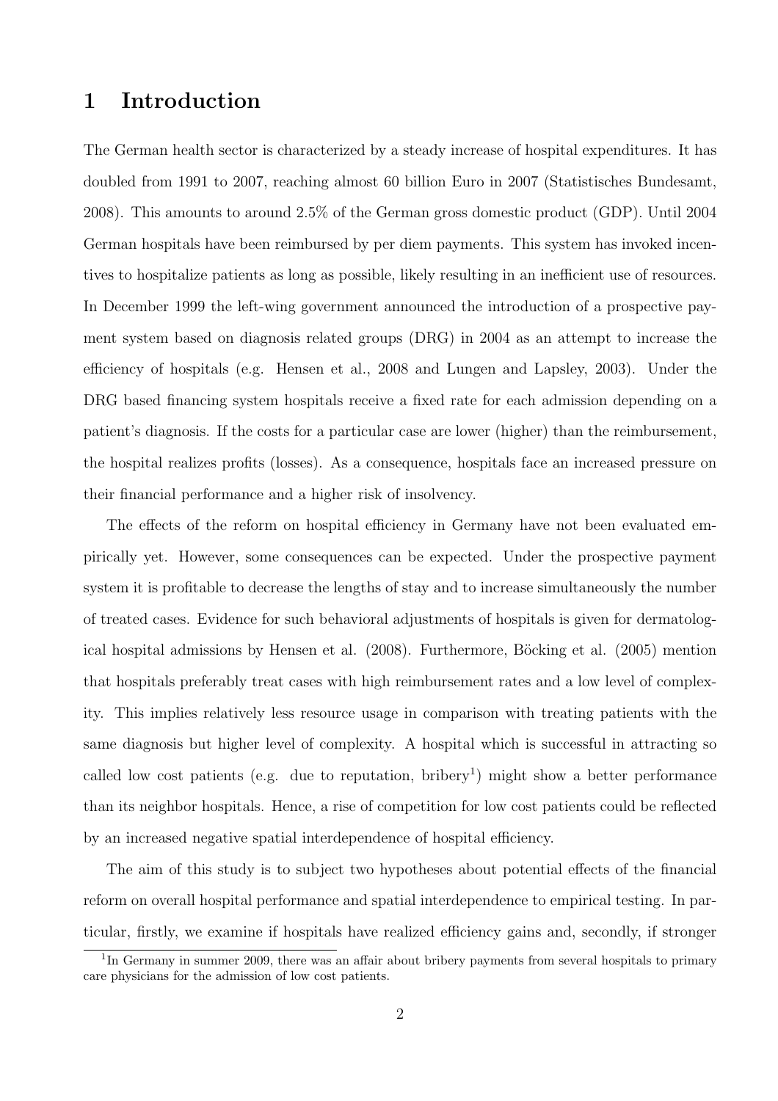## 1 Introduction

The German health sector is characterized by a steady increase of hospital expenditures. It has doubled from 1991 to 2007, reaching almost 60 billion Euro in 2007 (Statistisches Bundesamt, 2008). This amounts to around 2.5% of the German gross domestic product (GDP). Until 2004 German hospitals have been reimbursed by per diem payments. This system has invoked incentives to hospitalize patients as long as possible, likely resulting in an inefficient use of resources. In December 1999 the left-wing government announced the introduction of a prospective payment system based on diagnosis related groups (DRG) in 2004 as an attempt to increase the efficiency of hospitals (e.g. Hensen et al., 2008 and Lungen and Lapsley, 2003). Under the DRG based financing system hospitals receive a fixed rate for each admission depending on a patient's diagnosis. If the costs for a particular case are lower (higher) than the reimbursement, the hospital realizes profits (losses). As a consequence, hospitals face an increased pressure on their financial performance and a higher risk of insolvency.

The effects of the reform on hospital efficiency in Germany have not been evaluated empirically yet. However, some consequences can be expected. Under the prospective payment system it is profitable to decrease the lengths of stay and to increase simultaneously the number of treated cases. Evidence for such behavioral adjustments of hospitals is given for dermatological hospital admissions by Hensen et al. (2008). Furthermore, Böcking et al. (2005) mention that hospitals preferably treat cases with high reimbursement rates and a low level of complexity. This implies relatively less resource usage in comparison with treating patients with the same diagnosis but higher level of complexity. A hospital which is successful in attracting so called low cost patients (e.g. due to reputation, bribery<sup>1</sup>) might show a better performance than its neighbor hospitals. Hence, a rise of competition for low cost patients could be reflected by an increased negative spatial interdependence of hospital efficiency.

The aim of this study is to subject two hypotheses about potential effects of the financial reform on overall hospital performance and spatial interdependence to empirical testing. In particular, firstly, we examine if hospitals have realized efficiency gains and, secondly, if stronger

<sup>&</sup>lt;sup>1</sup>In Germany in summer 2009, there was an affair about bribery payments from several hospitals to primary care physicians for the admission of low cost patients.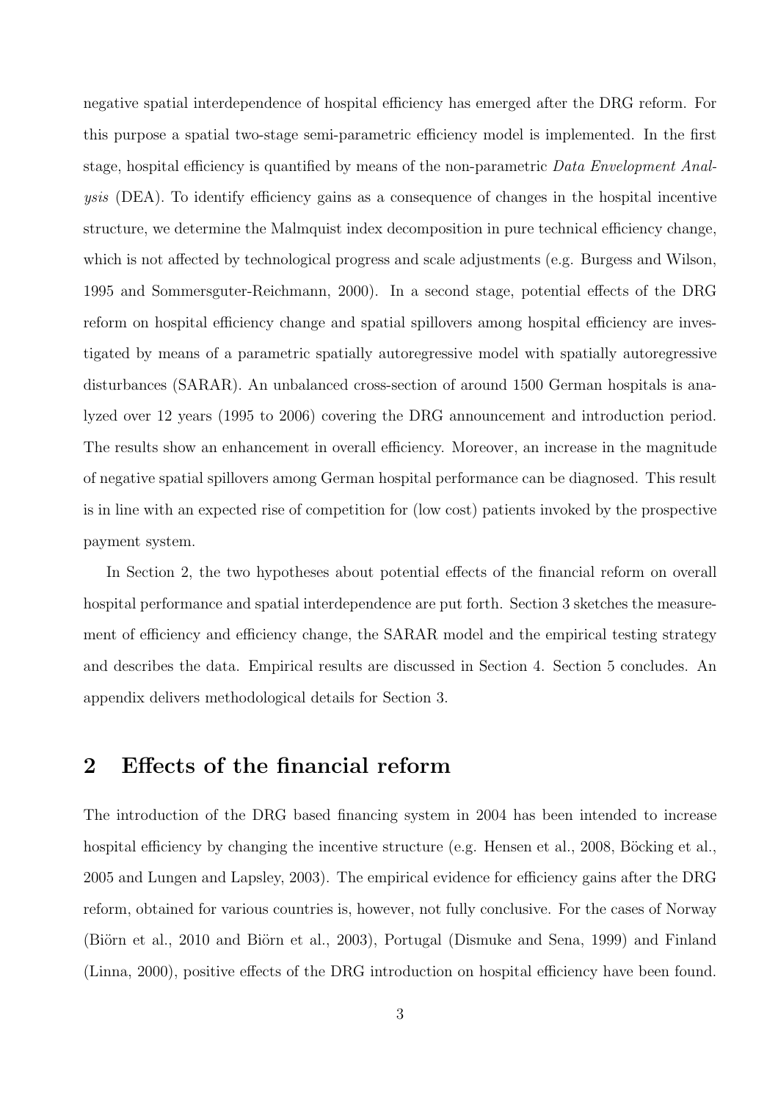negative spatial interdependence of hospital efficiency has emerged after the DRG reform. For this purpose a spatial two-stage semi-parametric efficiency model is implemented. In the first stage, hospital efficiency is quantified by means of the non-parametric Data Envelopment Analysis (DEA). To identify efficiency gains as a consequence of changes in the hospital incentive structure, we determine the Malmquist index decomposition in pure technical efficiency change, which is not affected by technological progress and scale adjustments (e.g. Burgess and Wilson, 1995 and Sommersguter-Reichmann, 2000). In a second stage, potential effects of the DRG reform on hospital efficiency change and spatial spillovers among hospital efficiency are investigated by means of a parametric spatially autoregressive model with spatially autoregressive disturbances (SARAR). An unbalanced cross-section of around 1500 German hospitals is analyzed over 12 years (1995 to 2006) covering the DRG announcement and introduction period. The results show an enhancement in overall efficiency. Moreover, an increase in the magnitude of negative spatial spillovers among German hospital performance can be diagnosed. This result is in line with an expected rise of competition for (low cost) patients invoked by the prospective payment system.

In Section 2, the two hypotheses about potential effects of the financial reform on overall hospital performance and spatial interdependence are put forth. Section 3 sketches the measurement of efficiency and efficiency change, the SARAR model and the empirical testing strategy and describes the data. Empirical results are discussed in Section 4. Section 5 concludes. An appendix delivers methodological details for Section 3.

## 2 Effects of the financial reform

The introduction of the DRG based financing system in 2004 has been intended to increase hospital efficiency by changing the incentive structure (e.g. Hensen et al., 2008, Böcking et al., 2005 and Lungen and Lapsley, 2003). The empirical evidence for efficiency gains after the DRG reform, obtained for various countries is, however, not fully conclusive. For the cases of Norway (Biörn et al., 2010 and Biörn et al., 2003), Portugal (Dismuke and Sena, 1999) and Finland (Linna, 2000), positive effects of the DRG introduction on hospital efficiency have been found.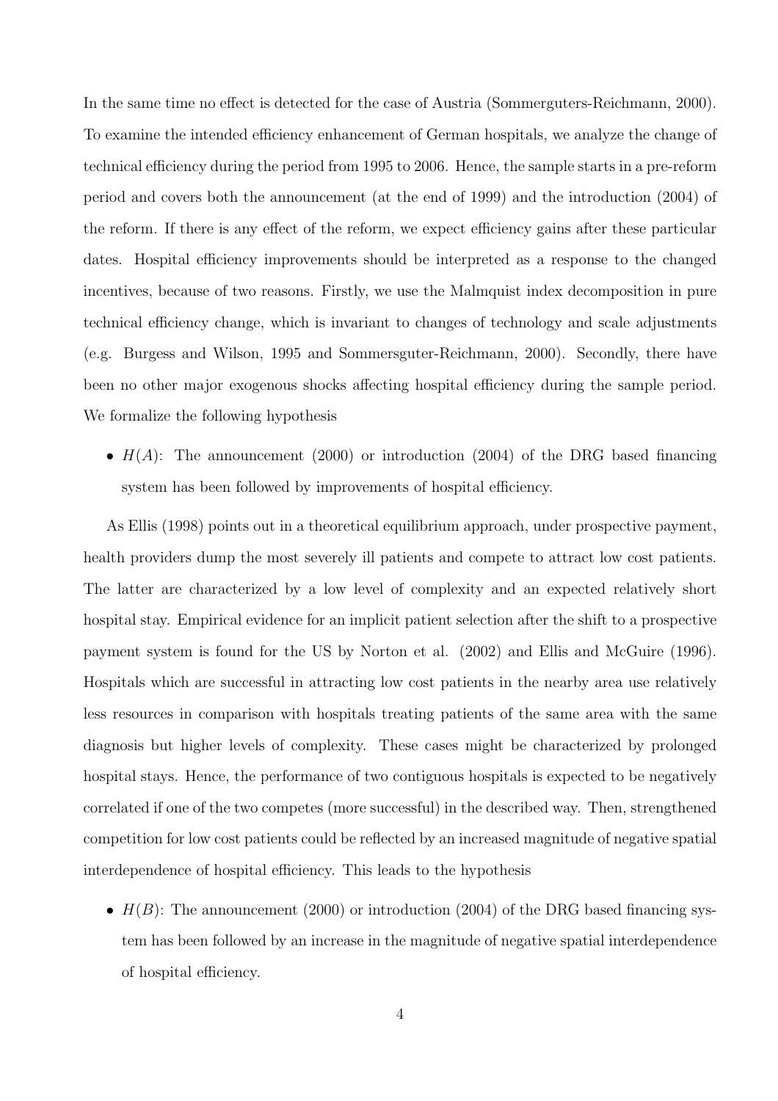In the same time no effect is detected for the case of Austria (Sommerguters-Reichmann, 2000). To examine the intended efficiency enhancement of German hospitals, we analyze the change of technical efficiency during the period from 1995 to 2006. Hence, the sample starts in a pre-reform period and covers both the announcement (at the end of 1999) and the introduction (2004) of the reform. If there is any effect of the reform, we expect efficiency gains after these particular dates. Hospital efficiency improvements should be interpreted as a response to the changed incentives, because of two reasons. Firstly, we use the Malmquist index decomposition in pure technical efficiency change, which is invariant to changes of technology and scale adjustments (e.g. Burgess and Wilson, 1995 and Sommersguter-Reichmann, 2000). Secondly, there have been no other major exogenous shocks affecting hospital efficiency during the sample period. We formalize the following hypothesis

•  $H(A)$ : The announcement (2000) or introduction (2004) of the DRG based financing system has been followed by improvements of hospital efficiency.

As Ellis (1998) points out in a theoretical equilibrium approach, under prospective payment, health providers dump the most severely ill patients and compete to attract low cost patients. The latter are characterized by a low level of complexity and an expected relatively short hospital stay. Empirical evidence for an implicit patient selection after the shift to a prospective payment system is found for the US by Norton et al. (2002) and Ellis and McGuire (1996). Hospitals which are successful in attracting low cost patients in the nearby area use relatively less resources in comparison with hospitals treating patients of the same area with the same diagnosis but higher levels of complexity. These cases might be characterized by prolonged hospital stays. Hence, the performance of two contiguous hospitals is expected to be negatively correlated if one of the two competes (more successful) in the described way. Then, strengthened competition for low cost patients could be reflected by an increased magnitude of negative spatial interdependence of hospital efficiency. This leads to the hypothesis

•  $H(B)$ : The announcement (2000) or introduction (2004) of the DRG based financing system has been followed by an increase in the magnitude of negative spatial interdependence of hospital efficiency.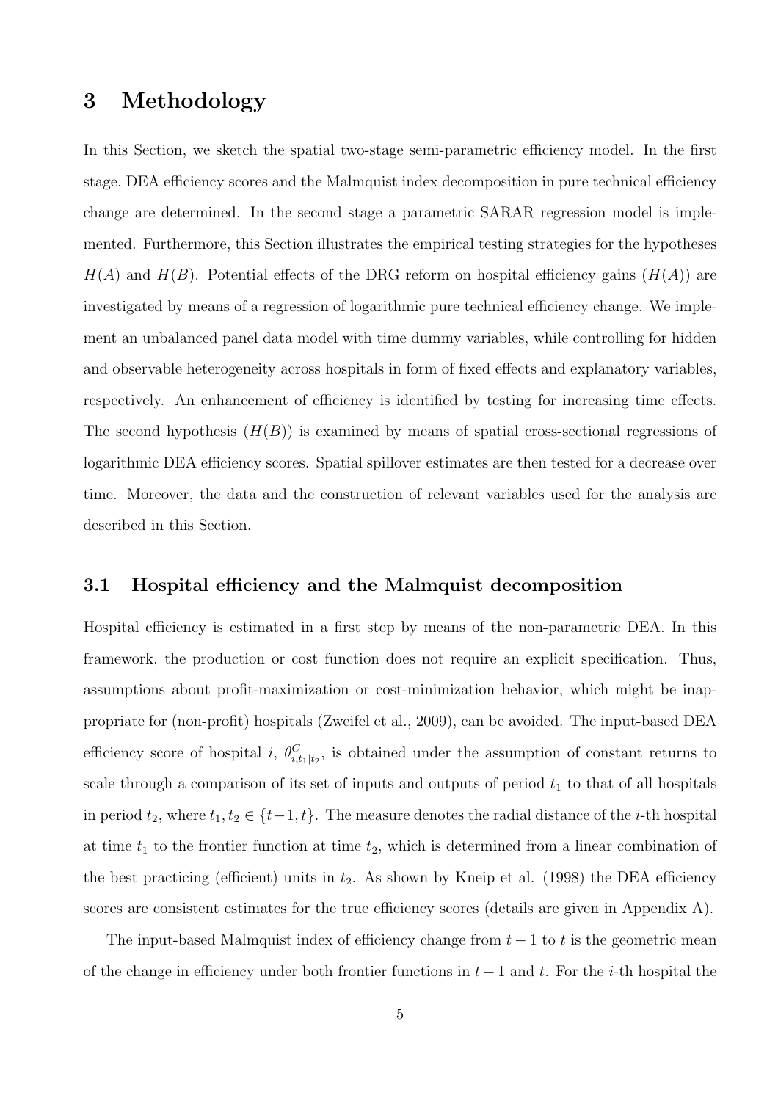## 3 Methodology

In this Section, we sketch the spatial two-stage semi-parametric efficiency model. In the first stage, DEA efficiency scores and the Malmquist index decomposition in pure technical efficiency change are determined. In the second stage a parametric SARAR regression model is implemented. Furthermore, this Section illustrates the empirical testing strategies for the hypotheses  $H(A)$  and  $H(B)$ . Potential effects of the DRG reform on hospital efficiency gains  $(H(A))$  are investigated by means of a regression of logarithmic pure technical efficiency change. We implement an unbalanced panel data model with time dummy variables, while controlling for hidden and observable heterogeneity across hospitals in form of fixed effects and explanatory variables, respectively. An enhancement of efficiency is identified by testing for increasing time effects. The second hypothesis  $(H(B))$  is examined by means of spatial cross-sectional regressions of logarithmic DEA efficiency scores. Spatial spillover estimates are then tested for a decrease over time. Moreover, the data and the construction of relevant variables used for the analysis are described in this Section.

#### 3.1 Hospital efficiency and the Malmquist decomposition

Hospital efficiency is estimated in a first step by means of the non-parametric DEA. In this framework, the production or cost function does not require an explicit specification. Thus, assumptions about profit-maximization or cost-minimization behavior, which might be inappropriate for (non-profit) hospitals (Zweifel et al., 2009), can be avoided. The input-based DEA efficiency score of hospital *i*,  $\theta_{i,t_1|t_2}^C$ , is obtained under the assumption of constant returns to scale through a comparison of its set of inputs and outputs of period  $t_1$  to that of all hospitals in period  $t_2$ , where  $t_1, t_2 \in \{t-1, t\}$ . The measure denotes the radial distance of the *i*-th hospital at time  $t_1$  to the frontier function at time  $t_2$ , which is determined from a linear combination of the best practicing (efficient) units in  $t_2$ . As shown by Kneip et al. (1998) the DEA efficiency scores are consistent estimates for the true efficiency scores (details are given in Appendix A).

The input-based Malmquist index of efficiency change from  $t-1$  to t is the geometric mean of the change in efficiency under both frontier functions in  $t-1$  and t. For the i-th hospital the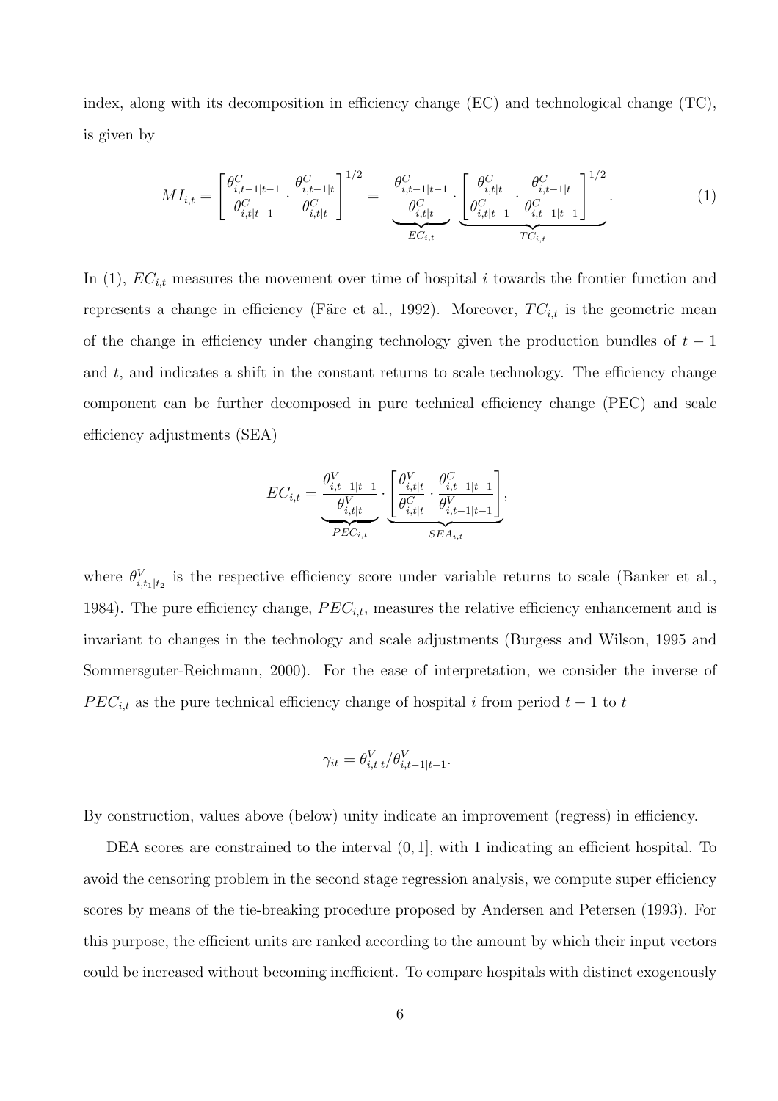index, along with its decomposition in efficiency change (EC) and technological change (TC), is given by

$$
MI_{i,t} = \left[\frac{\theta_{i,t-1|t-1}^C}{\theta_{i,t|t-1}^C} \cdot \frac{\theta_{i,t-1|t}^C}{\theta_{i,t|t}^C}\right]^{1/2} = \underbrace{\frac{\theta_{i,t-1|t-1}^C}{\theta_{i,t|t}^C}}_{EC_{i,t}} \cdot \underbrace{\left[\frac{\theta_{i,t|t}^C}{\theta_{i,t|t-1}^C} \cdot \frac{\theta_{i,t-1|t}^C}{\theta_{i,t-1|t-1}^C}\right]^{1/2}}_{TC_{i,t}}.
$$
(1)

In (1),  $EC_{i,t}$  measures the movement over time of hospital i towards the frontier function and represents a change in efficiency (Färe et al., 1992). Moreover,  $TC_{i,t}$  is the geometric mean of the change in efficiency under changing technology given the production bundles of  $t-1$ and  $t$ , and indicates a shift in the constant returns to scale technology. The efficiency change component can be further decomposed in pure technical efficiency change (PEC) and scale efficiency adjustments (SEA)

$$
EC_{i,t} = \underbrace{\frac{\theta_{i,t-1|t-1}^V}{\theta_{i,t|t}^V}}_{PEC_{i,t}} \cdot \underbrace{\left[\frac{\theta_{i,t|t}^V}{\theta_{i,t|t}^C} \cdot \frac{\theta_{i,t-1|t-1}^C}{\theta_{i,t-1|t-1}^V}\right]}_{SEA_{i,t}},
$$

where  $\theta_{i,t_1|t_2}^V$  is the respective efficiency score under variable returns to scale (Banker et al., 1984). The pure efficiency change,  $PEC_{i,t}$ , measures the relative efficiency enhancement and is invariant to changes in the technology and scale adjustments (Burgess and Wilson, 1995 and Sommersguter-Reichmann, 2000). For the ease of interpretation, we consider the inverse of  $PEC_{i,t}$  as the pure technical efficiency change of hospital i from period  $t-1$  to t

$$
\gamma_{it} = \theta_{i,t|t}^V / \theta_{i,t-1|t-1}^V.
$$

By construction, values above (below) unity indicate an improvement (regress) in efficiency.

DEA scores are constrained to the interval  $(0, 1]$ , with 1 indicating an efficient hospital. To avoid the censoring problem in the second stage regression analysis, we compute super efficiency scores by means of the tie-breaking procedure proposed by Andersen and Petersen (1993). For this purpose, the efficient units are ranked according to the amount by which their input vectors could be increased without becoming inefficient. To compare hospitals with distinct exogenously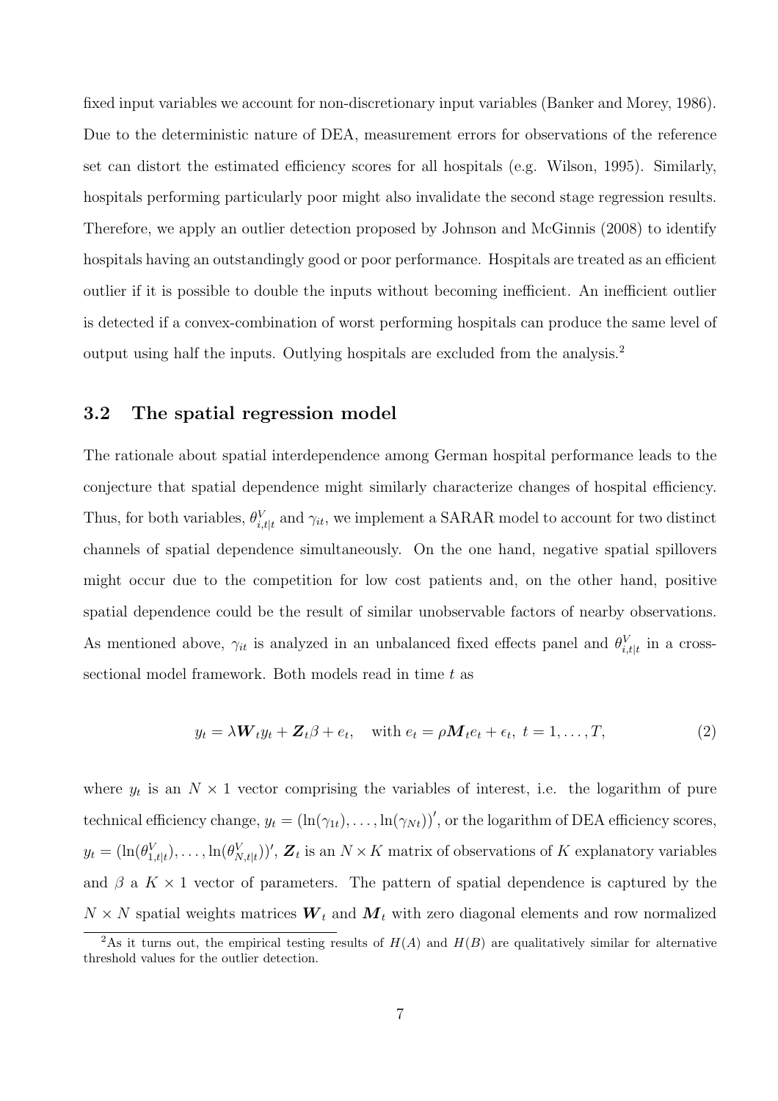fixed input variables we account for non-discretionary input variables (Banker and Morey, 1986). Due to the deterministic nature of DEA, measurement errors for observations of the reference set can distort the estimated efficiency scores for all hospitals (e.g. Wilson, 1995). Similarly, hospitals performing particularly poor might also invalidate the second stage regression results. Therefore, we apply an outlier detection proposed by Johnson and McGinnis (2008) to identify hospitals having an outstandingly good or poor performance. Hospitals are treated as an efficient outlier if it is possible to double the inputs without becoming inefficient. An inefficient outlier is detected if a convex-combination of worst performing hospitals can produce the same level of output using half the inputs. Outlying hospitals are excluded from the analysis.<sup>2</sup>

#### 3.2 The spatial regression model

The rationale about spatial interdependence among German hospital performance leads to the conjecture that spatial dependence might similarly characterize changes of hospital efficiency. Thus, for both variables,  $\theta_{i,t|t}^{V}$  and  $\gamma_{it}$ , we implement a SARAR model to account for two distinct channels of spatial dependence simultaneously. On the one hand, negative spatial spillovers might occur due to the competition for low cost patients and, on the other hand, positive spatial dependence could be the result of similar unobservable factors of nearby observations. As mentioned above,  $\gamma_{it}$  is analyzed in an unbalanced fixed effects panel and  $\theta_{i, t|t}^{V}$  in a crosssectional model framework. Both models read in time t as

$$
y_t = \lambda \mathbf{W}_t y_t + \mathbf{Z}_t \beta + e_t, \quad \text{with } e_t = \rho \mathbf{M}_t e_t + \epsilon_t, \ t = 1, \dots, T,
$$
\n
$$
(2)
$$

where  $y_t$  is an  $N \times 1$  vector comprising the variables of interest, i.e. the logarithm of pure technical efficiency change,  $y_t = (\ln(\gamma_{1t}), \ldots, \ln(\gamma_{Nt}))'$ , or the logarithm of DEA efficiency scores,  $y_t = (\ln(\theta_{1,t|t}^V), \ldots, \ln(\theta_{N,t|t}^V))'$ ,  $\mathbf{Z}_t$  is an  $N \times K$  matrix of observations of K explanatory variables and  $\beta$  a  $K \times 1$  vector of parameters. The pattern of spatial dependence is captured by the  $N \times N$  spatial weights matrices  $W_t$  and  $M_t$  with zero diagonal elements and row normalized

<sup>&</sup>lt;sup>2</sup>As it turns out, the empirical testing results of  $H(A)$  and  $H(B)$  are qualitatively similar for alternative threshold values for the outlier detection.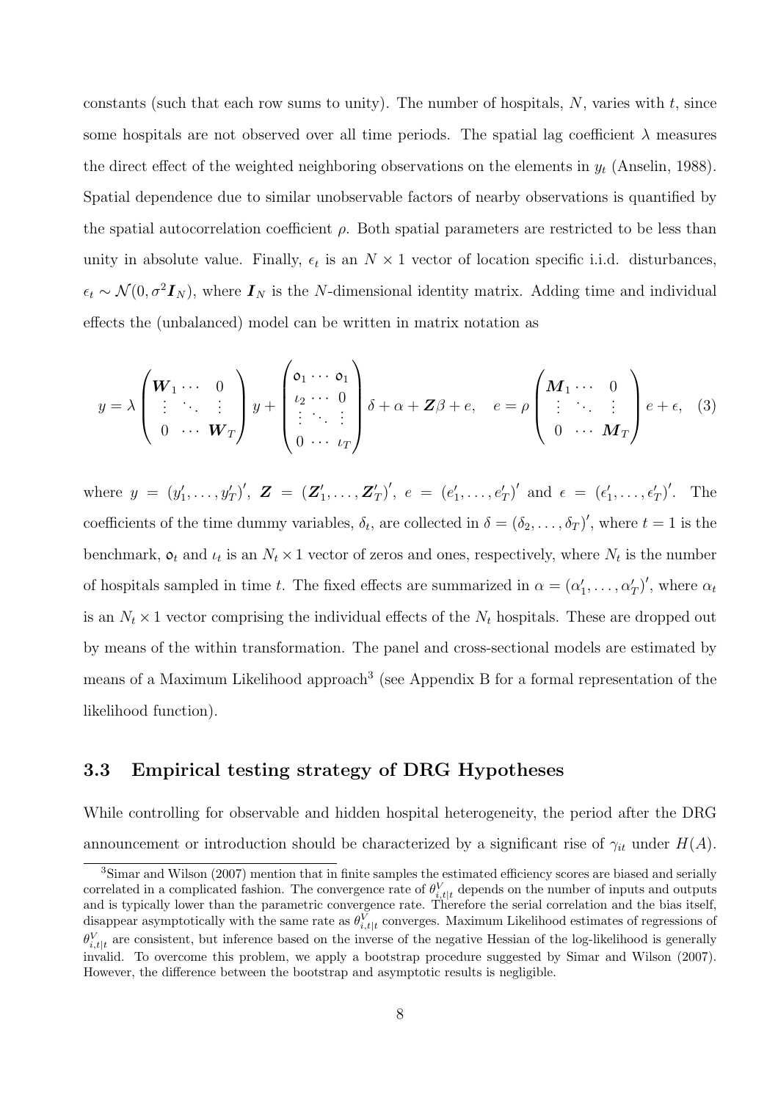constants (such that each row sums to unity). The number of hospitals,  $N$ , varies with  $t$ , since some hospitals are not observed over all time periods. The spatial lag coefficient  $\lambda$  measures the direct effect of the weighted neighboring observations on the elements in  $y_t$  (Anselin, 1988). Spatial dependence due to similar unobservable factors of nearby observations is quantified by the spatial autocorrelation coefficient  $\rho$ . Both spatial parameters are restricted to be less than unity in absolute value. Finally,  $\epsilon_t$  is an  $N \times 1$  vector of location specific i.i.d. disturbances,  $\epsilon_t \sim \mathcal{N}(0, \sigma^2 \mathbf{I}_N)$ , where  $\mathbf{I}_N$  is the N-dimensional identity matrix. Adding time and individual effects the (unbalanced) model can be written in matrix notation as

$$
y = \lambda \begin{pmatrix} \mathbf{W}_1 \cdots & 0 \\ \vdots & \ddots & \vdots \\ 0 & \cdots & \mathbf{W}_T \end{pmatrix} y + \begin{pmatrix} \mathfrak{o}_1 \cdots & \mathfrak{o}_1 \\ \iota_2 \cdots & 0 \\ \vdots & \ddots & \vdots \\ 0 & \cdots & \iota_T \end{pmatrix} \delta + \alpha + \mathbf{Z}\beta + e, \quad e = \rho \begin{pmatrix} \mathbf{M}_1 \cdots & 0 \\ \vdots & \ddots & \vdots \\ 0 & \cdots & \mathbf{M}_T \end{pmatrix} e + \epsilon, \quad (3)
$$

where  $y = (y'_1, \ldots, y'_T)'$ ,  $\bm{Z} = (\bm{Z}'_1)$  $'_{1},\ldots,\boldsymbol{Z}'_{1}$  $({r \choose T}', e = (e'_1, \ldots, e'_T)'$  and  $\epsilon = (\epsilon'_1, \ldots, \epsilon'_T)'$ . The coefficients of the time dummy variables,  $\delta_t$ , are collected in  $\delta = (\delta_2, \ldots, \delta_T)'$ , where  $t = 1$  is the benchmark,  $o_t$  and  $u_t$  is an  $N_t \times 1$  vector of zeros and ones, respectively, where  $N_t$  is the number of hospitals sampled in time t. The fixed effects are summarized in  $\alpha = (\alpha'_1, \dots, \alpha'_T)'$ , where  $\alpha_t$ is an  $N_t \times 1$  vector comprising the individual effects of the  $N_t$  hospitals. These are dropped out by means of the within transformation. The panel and cross-sectional models are estimated by means of a Maximum Likelihood approach<sup>3</sup> (see Appendix B for a formal representation of the likelihood function).

#### 3.3 Empirical testing strategy of DRG Hypotheses

While controlling for observable and hidden hospital heterogeneity, the period after the DRG announcement or introduction should be characterized by a significant rise of  $\gamma_{it}$  under  $H(A)$ .

<sup>&</sup>lt;sup>3</sup>Simar and Wilson (2007) mention that in finite samples the estimated efficiency scores are biased and serially correlated in a complicated fashion. The convergence rate of  $\theta_{i,t|t}^{V}$  depends on the number of inputs and outputs and is typically lower than the parametric convergence rate. Therefore the serial correlation and the bias itself, disappear asymptotically with the same rate as  $\theta_{i, t|t}^{V}$  converges. Maximum Likelihood estimates of regressions of  $\theta_{i,t|t}^{V}$  are consistent, but inference based on the inverse of the negative Hessian of the log-likelihood is generally invalid. To overcome this problem, we apply a bootstrap procedure suggested by Simar and Wilson (2007). However, the difference between the bootstrap and asymptotic results is negligible.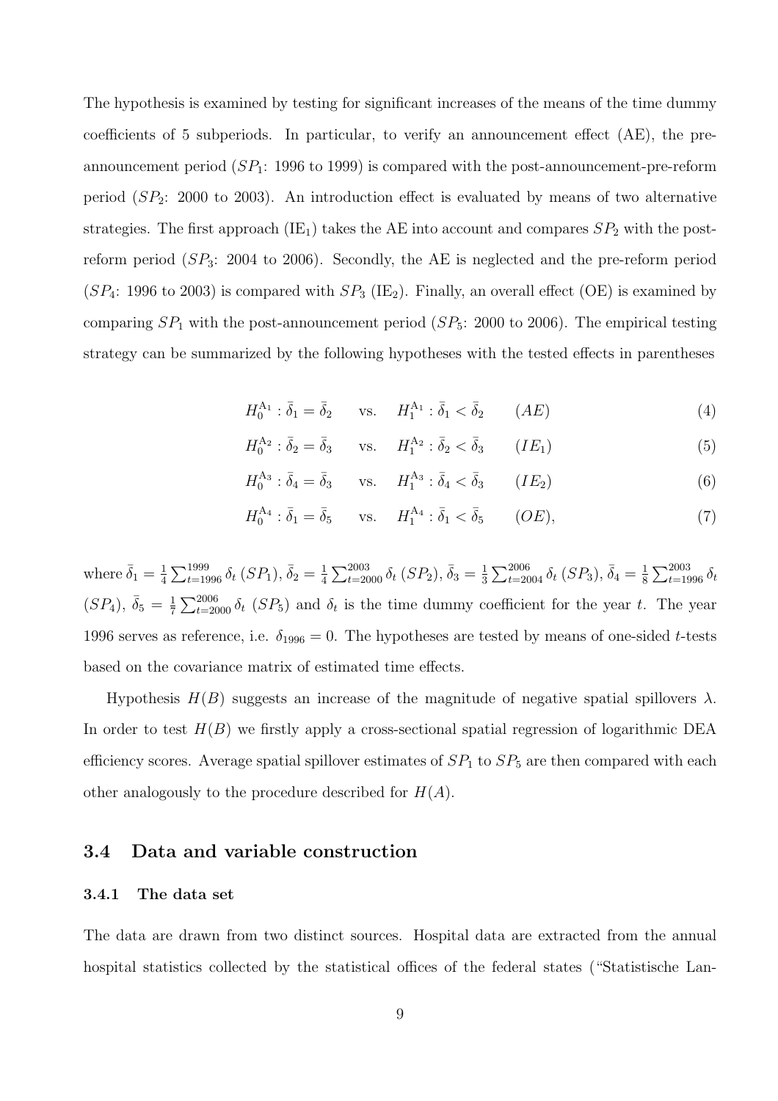The hypothesis is examined by testing for significant increases of the means of the time dummy coefficients of 5 subperiods. In particular, to verify an announcement effect (AE), the preannouncement period  $(SP_1: 1996 \text{ to } 1999)$  is compared with the post-announcement-pre-reform period  $(SP_2: 2000$  to 2003). An introduction effect is evaluated by means of two alternative strategies. The first approach (IE<sub>1</sub>) takes the AE into account and compares  $SP_2$  with the postreform period  $(SP_3: 2004$  to 2006). Secondly, the AE is neglected and the pre-reform period  $(SP_4: 1996$  to 2003) is compared with  $SP_3$  (IE<sub>2</sub>). Finally, an overall effect (OE) is examined by comparing  $SP<sub>1</sub>$  with the post-announcement period ( $SP<sub>5</sub>$ : 2000 to 2006). The empirical testing strategy can be summarized by the following hypotheses with the tested effects in parentheses

$$
H_0^{A_1} : \bar{\delta}_1 = \bar{\delta}_2 \qquad \text{vs.} \qquad H_1^{A_1} : \bar{\delta}_1 < \bar{\delta}_2 \qquad (AE) \tag{4}
$$

$$
H_0^{A_2} : \bar{\delta}_2 = \bar{\delta}_3 \qquad \text{vs.} \qquad H_1^{A_2} : \bar{\delta}_2 < \bar{\delta}_3 \qquad (IE_1) \tag{5}
$$

$$
H_0^{\mathcal{A}_3} : \overline{\delta}_4 = \overline{\delta}_3 \qquad \text{vs.} \qquad H_1^{\mathcal{A}_3} : \overline{\delta}_4 < \overline{\delta}_3 \qquad (IE_2) \tag{6}
$$

$$
H_0^{A_4} : \bar{\delta}_1 = \bar{\delta}_5 \qquad \text{vs.} \qquad H_1^{A_4} : \bar{\delta}_1 < \bar{\delta}_5 \qquad (OE), \tag{7}
$$

where  $\bar{\delta}_1 = \frac{1}{4}$ 4  $\sum_{t=1996}^{1999} \delta_t \left( SP_1 \right), \bar{\delta}_2 = \frac{1}{4}$ 4  $\sum_{t=2000}^{2003} \delta_t \, (SP_2), \, \bar{\delta}_3 = \frac{1}{3}$ 3  $\sum_{t=2004}^{2006} \delta_t \left( SP_3 \right), \bar{\delta}_4 = \frac{1}{8}$ 8  $\sum_{2003}$  $_{t=1996}^{2003}\, \delta_t$  $(SP_4), \ \bar{\delta}_5 = \frac{1}{7}$ 7  $\sum_{2006}$  $t_{0}^{2000}$   $\delta_t$  (SP<sub>5</sub>) and  $\delta_t$  is the time dummy coefficient for the year t. The year 1996 serves as reference, i.e.  $\delta_{1996} = 0$ . The hypotheses are tested by means of one-sided t-tests based on the covariance matrix of estimated time effects.

Hypothesis  $H(B)$  suggests an increase of the magnitude of negative spatial spillovers  $\lambda$ . In order to test  $H(B)$  we firstly apply a cross-sectional spatial regression of logarithmic DEA efficiency scores. Average spatial spillover estimates of  $SP_1$  to  $SP_5$  are then compared with each other analogously to the procedure described for  $H(A)$ .

#### 3.4 Data and variable construction

#### 3.4.1 The data set

The data are drawn from two distinct sources. Hospital data are extracted from the annual hospital statistics collected by the statistical offices of the federal states ("Statistische Lan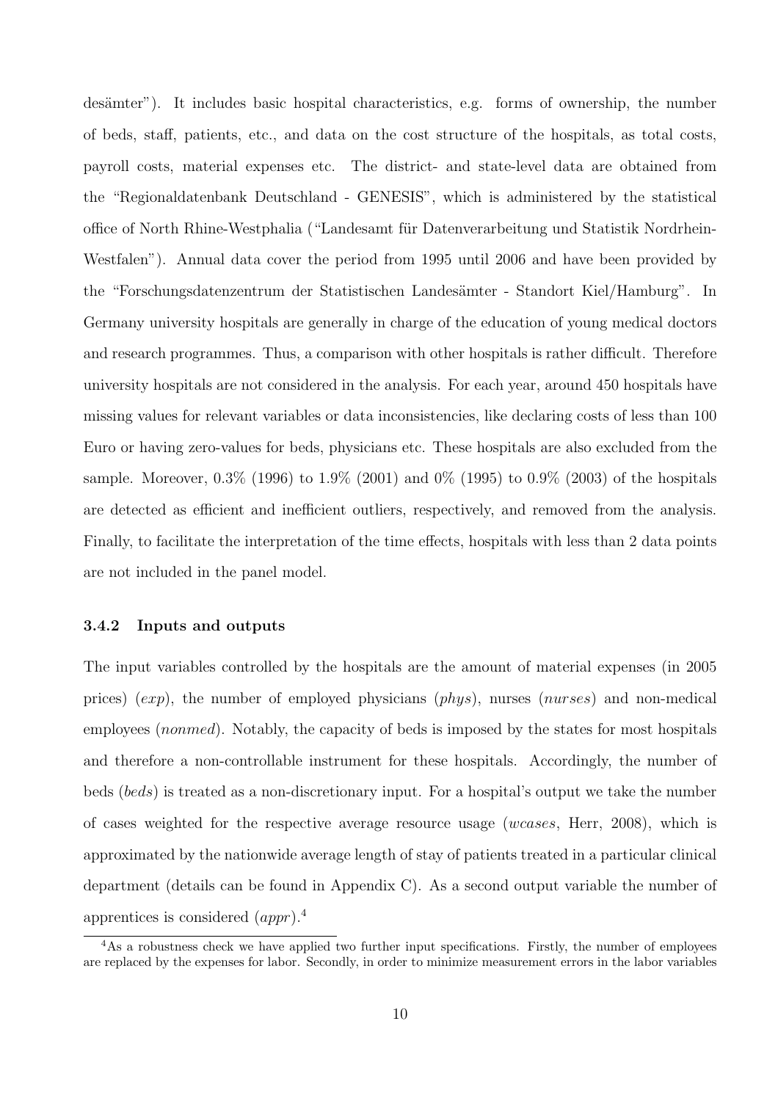desämter"). It includes basic hospital characteristics, e.g. forms of ownership, the number of beds, staff, patients, etc., and data on the cost structure of the hospitals, as total costs, payroll costs, material expenses etc. The district- and state-level data are obtained from the "Regionaldatenbank Deutschland - GENESIS", which is administered by the statistical office of North Rhine-Westphalia ("Landesamt für Datenverarbeitung und Statistik Nordrhein-Westfalen"). Annual data cover the period from 1995 until 2006 and have been provided by the "Forschungsdatenzentrum der Statistischen Landesämter - Standort Kiel/Hamburg". In Germany university hospitals are generally in charge of the education of young medical doctors and research programmes. Thus, a comparison with other hospitals is rather difficult. Therefore university hospitals are not considered in the analysis. For each year, around 450 hospitals have missing values for relevant variables or data inconsistencies, like declaring costs of less than 100 Euro or having zero-values for beds, physicians etc. These hospitals are also excluded from the sample. Moreover,  $0.3\%$  (1996) to  $1.9\%$  (2001) and  $0\%$  (1995) to  $0.9\%$  (2003) of the hospitals are detected as efficient and inefficient outliers, respectively, and removed from the analysis. Finally, to facilitate the interpretation of the time effects, hospitals with less than 2 data points are not included in the panel model.

#### 3.4.2 Inputs and outputs

The input variables controlled by the hospitals are the amount of material expenses (in 2005 prices) (exp), the number of employed physicians (phys), nurses (nurses) and non-medical employees *(nonmed)*. Notably, the capacity of beds is imposed by the states for most hospitals and therefore a non-controllable instrument for these hospitals. Accordingly, the number of beds (beds) is treated as a non-discretionary input. For a hospital's output we take the number of cases weighted for the respective average resource usage (wcases, Herr, 2008), which is approximated by the nationwide average length of stay of patients treated in a particular clinical department (details can be found in Appendix C). As a second output variable the number of apprentices is considered (appr).<sup>4</sup>

<sup>&</sup>lt;sup>4</sup>As a robustness check we have applied two further input specifications. Firstly, the number of employees are replaced by the expenses for labor. Secondly, in order to minimize measurement errors in the labor variables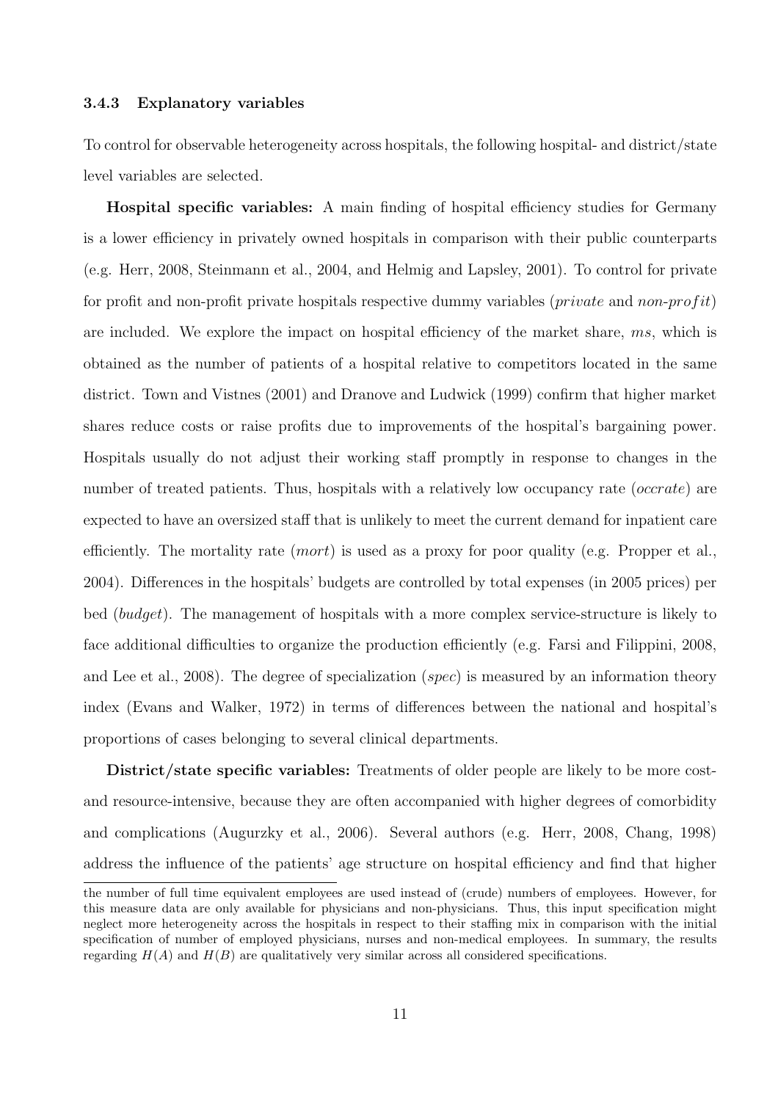#### 3.4.3 Explanatory variables

To control for observable heterogeneity across hospitals, the following hospital- and district/state level variables are selected.

Hospital specific variables: A main finding of hospital efficiency studies for Germany is a lower efficiency in privately owned hospitals in comparison with their public counterparts (e.g. Herr, 2008, Steinmann et al., 2004, and Helmig and Lapsley, 2001). To control for private for profit and non-profit private hospitals respective dummy variables (*private* and *non-profit*) are included. We explore the impact on hospital efficiency of the market share, ms, which is obtained as the number of patients of a hospital relative to competitors located in the same district. Town and Vistnes (2001) and Dranove and Ludwick (1999) confirm that higher market shares reduce costs or raise profits due to improvements of the hospital's bargaining power. Hospitals usually do not adjust their working staff promptly in response to changes in the number of treated patients. Thus, hospitals with a relatively low occupancy rate (*occrate*) are expected to have an oversized staff that is unlikely to meet the current demand for inpatient care efficiently. The mortality rate  $(mort)$  is used as a proxy for poor quality (e.g. Propper et al., 2004). Differences in the hospitals' budgets are controlled by total expenses (in 2005 prices) per bed (budget). The management of hospitals with a more complex service-structure is likely to face additional difficulties to organize the production efficiently (e.g. Farsi and Filippini, 2008, and Lee et al., 2008). The degree of specialization (*spec*) is measured by an information theory index (Evans and Walker, 1972) in terms of differences between the national and hospital's proportions of cases belonging to several clinical departments.

District/state specific variables: Treatments of older people are likely to be more costand resource-intensive, because they are often accompanied with higher degrees of comorbidity and complications (Augurzky et al., 2006). Several authors (e.g. Herr, 2008, Chang, 1998) address the influence of the patients' age structure on hospital efficiency and find that higher

the number of full time equivalent employees are used instead of (crude) numbers of employees. However, for this measure data are only available for physicians and non-physicians. Thus, this input specification might neglect more heterogeneity across the hospitals in respect to their staffing mix in comparison with the initial specification of number of employed physicians, nurses and non-medical employees. In summary, the results regarding  $H(A)$  and  $H(B)$  are qualitatively very similar across all considered specifications.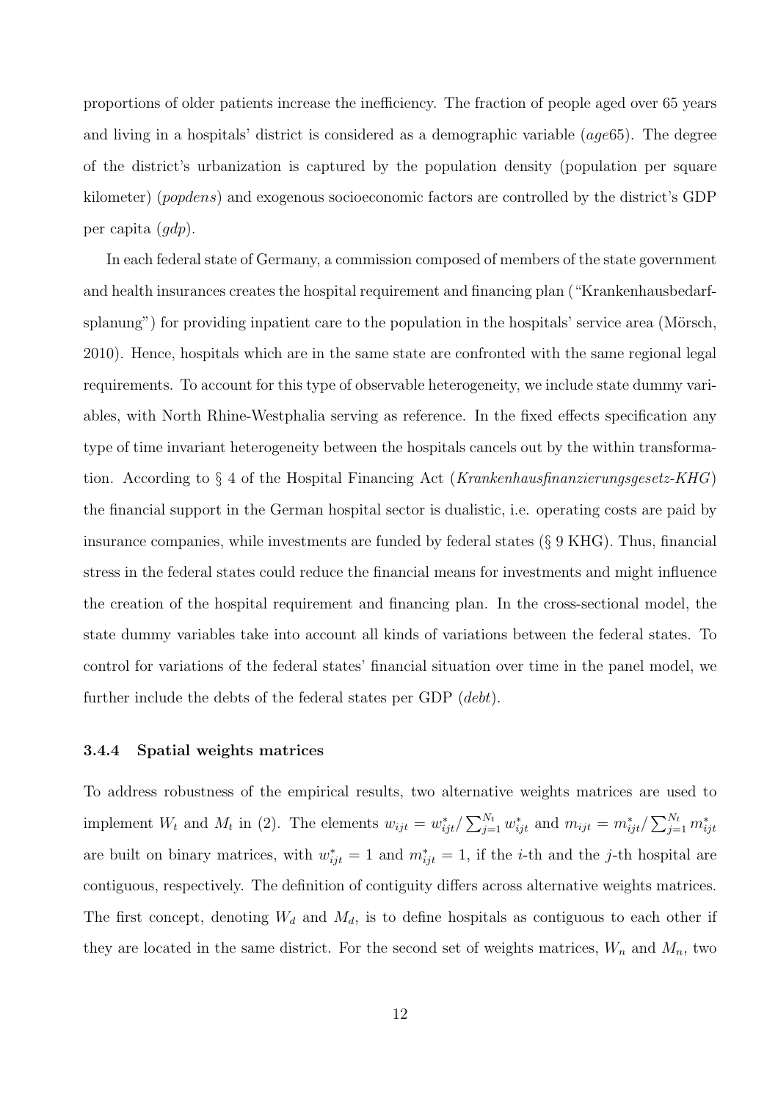proportions of older patients increase the inefficiency. The fraction of people aged over 65 years and living in a hospitals' district is considered as a demographic variable (age65). The degree of the district's urbanization is captured by the population density (population per square kilometer) (popdens) and exogenous socioeconomic factors are controlled by the district's GDP per capita (gdp).

In each federal state of Germany, a commission composed of members of the state government and health insurances creates the hospital requirement and financing plan ("Krankenhausbedarfsplanung") for providing inpatient care to the population in the hospitals' service area (Mörsch, 2010). Hence, hospitals which are in the same state are confronted with the same regional legal requirements. To account for this type of observable heterogeneity, we include state dummy variables, with North Rhine-Westphalia serving as reference. In the fixed effects specification any type of time invariant heterogeneity between the hospitals cancels out by the within transformation. According to § 4 of the Hospital Financing Act (Krankenhausfinanzierungsgesetz-KHG) the financial support in the German hospital sector is dualistic, i.e. operating costs are paid by insurance companies, while investments are funded by federal states (§ 9 KHG). Thus, financial stress in the federal states could reduce the financial means for investments and might influence the creation of the hospital requirement and financing plan. In the cross-sectional model, the state dummy variables take into account all kinds of variations between the federal states. To control for variations of the federal states' financial situation over time in the panel model, we further include the debts of the federal states per GDP (*debt*).

#### 3.4.4 Spatial weights matrices

To address robustness of the empirical results, two alternative weights matrices are used to implement  $W_t$  and  $M_t$  in (2). The elements  $w_{ijt} = w_{ijt}^* /$  $\sum_{k} N_t$  $_{j=1}^{N_t} w_{ijt}^*$  and  $m_{ijt} = m_{ijt}^*$  $\sum_{j=1}^{N_t} m_{ijt}^*$ are built on binary matrices, with  $w_{ijt}^* = 1$  and  $m_{ijt}^* = 1$ , if the *i*-th and the *j*-th hospital are contiguous, respectively. The definition of contiguity differs across alternative weights matrices. The first concept, denoting  $W_d$  and  $M_d$ , is to define hospitals as contiguous to each other if they are located in the same district. For the second set of weights matrices,  $W_n$  and  $M_n$ , two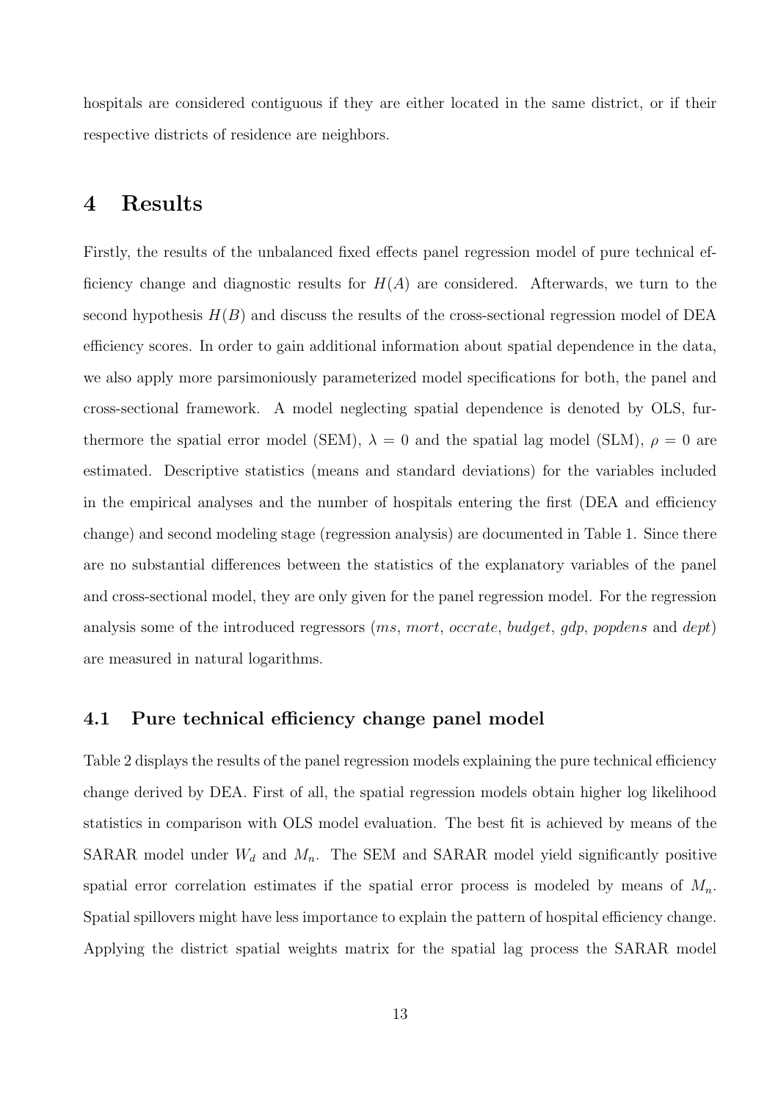hospitals are considered contiguous if they are either located in the same district, or if their respective districts of residence are neighbors.

### 4 Results

Firstly, the results of the unbalanced fixed effects panel regression model of pure technical efficiency change and diagnostic results for  $H(A)$  are considered. Afterwards, we turn to the second hypothesis  $H(B)$  and discuss the results of the cross-sectional regression model of DEA efficiency scores. In order to gain additional information about spatial dependence in the data, we also apply more parsimoniously parameterized model specifications for both, the panel and cross-sectional framework. A model neglecting spatial dependence is denoted by OLS, furthermore the spatial error model (SEM),  $\lambda = 0$  and the spatial lag model (SLM),  $\rho = 0$  are estimated. Descriptive statistics (means and standard deviations) for the variables included in the empirical analyses and the number of hospitals entering the first (DEA and efficiency change) and second modeling stage (regression analysis) are documented in Table 1. Since there are no substantial differences between the statistics of the explanatory variables of the panel and cross-sectional model, they are only given for the panel regression model. For the regression analysis some of the introduced regressors (ms, mort, occrate, budget, gdp, popdens and dept) are measured in natural logarithms.

#### 4.1 Pure technical efficiency change panel model

Table 2 displays the results of the panel regression models explaining the pure technical efficiency change derived by DEA. First of all, the spatial regression models obtain higher log likelihood statistics in comparison with OLS model evaluation. The best fit is achieved by means of the SARAR model under  $W_d$  and  $M_n$ . The SEM and SARAR model yield significantly positive spatial error correlation estimates if the spatial error process is modeled by means of  $M_n$ . Spatial spillovers might have less importance to explain the pattern of hospital efficiency change. Applying the district spatial weights matrix for the spatial lag process the SARAR model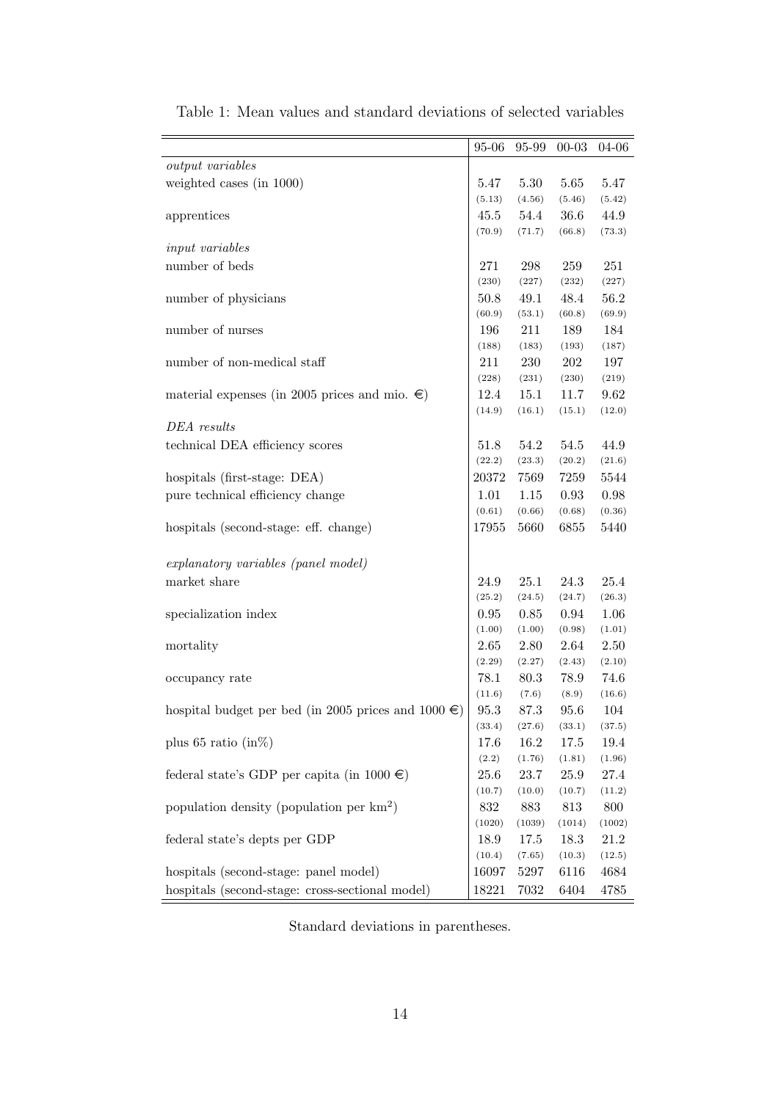|                                                          | $95 - 06$      | 95-99          | $00 - 03$ | 04-06  |
|----------------------------------------------------------|----------------|----------------|-----------|--------|
| output variables                                         |                |                |           |        |
| weighted cases (in 1000)                                 | 5.47           | 5.30           | 5.65      | 5.47   |
|                                                          | (5.13)         | (4.56)         | (5.46)    | (5.42) |
| apprentices                                              | 45.5           | 54.4           | 36.6      | 44.9   |
|                                                          | (70.9)         | (71.7)         | (66.8)    | (73.3) |
| input variables                                          |                |                |           |        |
| number of beds                                           | 271            | 298            | 259       | 251    |
|                                                          | (230)          | (227)          | (232)     | (227)  |
| number of physicians                                     | 50.8           | $49.1\,$       | 48.4      | 56.2   |
|                                                          | (60.9)         | (53.1)         | (60.8)    | (69.9) |
| number of nurses                                         | 196            | 211            | 189       | 184    |
|                                                          | (188)          | (183)          | (193)     | (187)  |
| number of non-medical staff                              | 211            | 230            | 202       | 197    |
|                                                          | (228)          | (231)          | (230)     | (219)  |
| material expenses (in 2005 prices and mio. $\epsilon$ )  | 12.4           | 15.1           | 11.7      | 9.62   |
|                                                          | (14.9)         | (16.1)         | (15.1)    | (12.0) |
| DEA results                                              |                |                |           |        |
| technical DEA efficiency scores                          | 51.8           | 54.2           | 54.5      | 44.9   |
|                                                          | (22.2)         | (23.3)         | (20.2)    | (21.6) |
| hospitals (first-stage: DEA)                             | 20372          | 7569           | 7259      | 5544   |
| pure technical efficiency change                         | 1.01           | 1.15           | 0.93      | 0.98   |
|                                                          | (0.61)         | (0.66)         | (0.68)    | (0.36) |
| hospitals (second-stage: eff. change)                    | 17955          | 5660           | 6855      | 5440   |
|                                                          |                |                |           |        |
| explanatory variables (panel model)                      |                |                |           |        |
| market share                                             | 24.9           | 25.1           | 24.3      | 25.4   |
|                                                          | (25.2)         | (24.5)         | (24.7)    | (26.3) |
| specialization index                                     | $\rm 0.95$     | 0.85           | 0.94      | 1.06   |
|                                                          | (1.00)         | (1.00)         | (0.98)    | (1.01) |
| mortality                                                | 2.65           | 2.80           | $2.64\,$  | 2.50   |
|                                                          | (2.29)         | (2.27)         | (2.43)    | (2.10) |
| occupancy rate                                           | 78.1           | 80.3           | 78.9      | 74.6   |
|                                                          | (11.6)         | (7.6)          | (8.9)     | (16.6) |
| hospital budget per bed (in 2005 prices and 1000 $\in$ ) | 95.3           | 87.3           | 95.6      | 104    |
|                                                          | (33.4)         | (27.6)         | (33.1)    | (37.5) |
| plus 65 ratio $(in\%)$                                   | 17.6           | 16.2           | 17.5      | 19.4   |
|                                                          | (2.2)          | (1.76)         | (1.81)    | (1.96) |
| federal state's GDP per capita (in $1000 \in$ )          | 25.6           | 23.7           | 25.9      | 27.4   |
|                                                          | (10.7)         | (10.0)         | (10.7)    | (11.2) |
| population density (population per $km^2$ )              | 832            | 883            | 813       | 800    |
|                                                          | (1020)         | (1039)         | (1014)    | (1002) |
| federal state's depts per GDP                            | 18.9<br>(10.4) | 17.5<br>(7.65) | 18.3      | 21.2   |
|                                                          |                |                | (10.3)    | (12.5) |
| hospitals (second-stage: panel model)                    | 16097          | 5297           | 6116      | 4684   |
| hospitals (second-stage: cross-sectional model)          | 18221          | 7032           | 6404      | 4785   |

Table 1: Mean values and standard deviations of selected variables

Standard deviations in parentheses.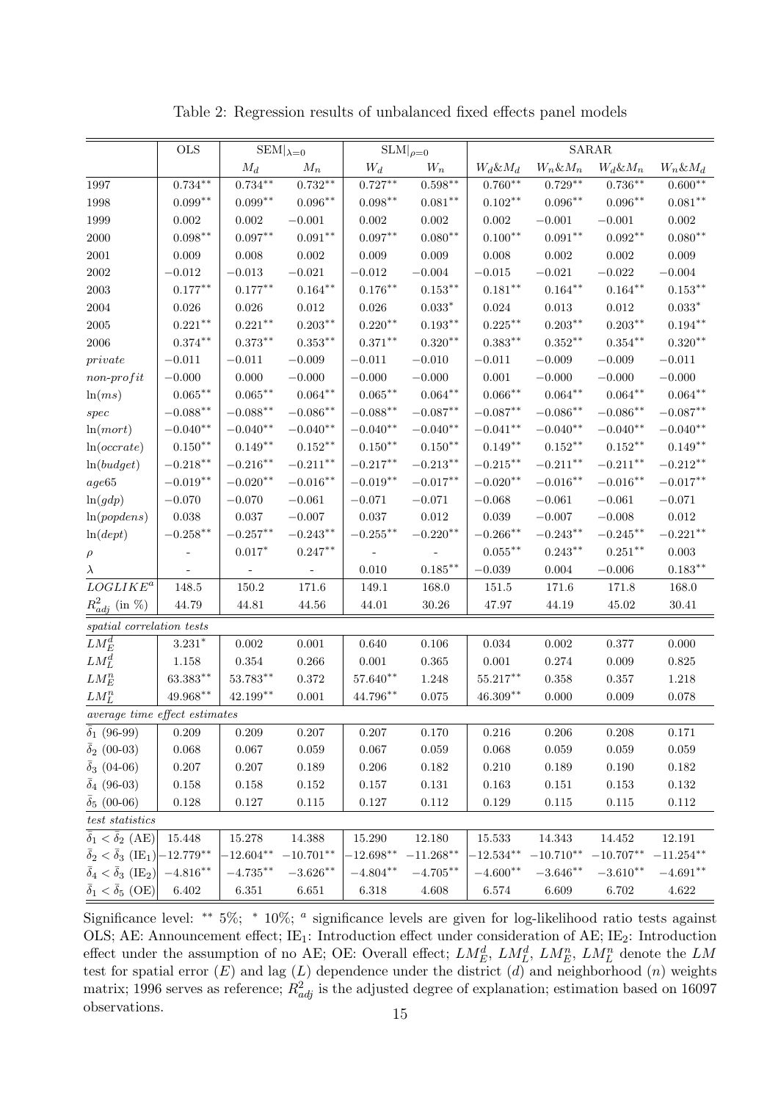|                                                  | <b>OLS</b>   |                     | $\text{SEM} _{\lambda=0}$ |                     | $SLM _{\rho=0}$     |                     |                     | SARAR               |                    |
|--------------------------------------------------|--------------|---------------------|---------------------------|---------------------|---------------------|---------------------|---------------------|---------------------|--------------------|
|                                                  |              | $\mathcal{M}_d$     | $M_n$                     | $W_d$               | $W_n$               | $W_d \& M_d$        | $W_n \& M_n$        | $W_d \& M_n$        | $W_n \& M_d$       |
| 1997                                             | $0.734***$   | $0.734***$          | $0.732**$                 | $0.727***$          | $0.598***$          | $0.760**$           | $0.729***$          | $0.736***$          | $0.600^{\ast\ast}$ |
| 1998                                             | $0.099**$    | $0.099**$           | $0.096***$                | $0.098^{\ast\ast}$  | $0.081**$           | $0.102**$           | $0.096***$          | $0.096**$           | $0.081**$          |
| 1999                                             | $0.002\,$    | 0.002               | $-0.001\,$                | 0.002               | 0.002               | 0.002               | $-0.001\,$          | $-0.001$            | $0.002\,$          |
| 2000                                             | $0.098***$   | $0.097**$           | $0.091**$                 | $0.097**$           | $0.080**$           | $0.100**$           | $0.091***$          | $0.092**$           | $0.080**$          |
| 2001                                             | 0.009        | 0.008               | $0.002\,$                 | 0.009               | 0.009               | 0.008               | 0.002               | $0.002\,$           | 0.009              |
| $\,2002\,$                                       | $-0.012$     | $-0.013$            | $-0.021$                  | $-0.012$            | $-0.004$            | $-0.015$            | $-0.021$            | $-0.022$            | $-0.004$           |
| 2003                                             | $0.177***$   | $0.177***$          | $0.164***$                | $0.176^{\ast\ast}$  | $0.153^{\ast\ast}$  | $0.181^{\ast\ast}$  | $0.164^{\ast\ast}$  | $0.164***$          | $0.153***$         |
| 2004                                             | $0.026\,$    | $\,0.026\,$         | $0.012\,$                 | $\,0.026\,$         | $0.033*$            | $\,0.024\,$         | $\,0.013\,$         | $\,0.012\,$         | $0.033*$           |
| 2005                                             | $0.221***$   | $0.221**$           | $0.203***$                | $0.220**$           | $0.193***$          | $0.225***$          | $0.203***$          | $0.203***$          | $0.194***$         |
| 2006                                             | $0.374***$   | $0.373**$           | $0.353***$                | $0.371**$           | $0.320**$           | $0.383**$           | $0.352**$           | $0.354***$          | $0.320**$          |
| private                                          | $-0.011$     | $-0.011$            | $-0.009$                  | $-0.011$            | $-0.010$            | $-0.011$            | $-0.009$            | $-0.009$            | $-0.011$           |
| $non-profit$                                     | $-0.000$     | 0.000               | $-0.000$                  | $-0.000$            | $-0.000$            | $0.001\,$           | $-0.000$            | $-0.000$            | $-0.000$           |
| ln(ms)                                           | $0.065***$   | $0.065^{**}$        | $0.064***$                | $0.065^{\ast\ast}$  | $0.064^{\ast\ast}$  | $0.066***$          | $0.064^{\ast\ast}$  | $0.064^{\ast\ast}$  | $0.064***$         |
| $spec$                                           | $-0.088**$   | $-0.088**$          | $-0.086**$                | $-0.088**$          | $-0.087**$          | $-0.087**$          | $-0.086**$          | $-0.086**$          | $-0.087**$         |
| ln(mort)                                         | $-0.040**$   | $-0.040**$          | $-0.040**$                | $-0.040**$          | $-0.040**$          | $-0.041**$          | $-0.040**$          | $-0.040**$          | $-0.040**$         |
| ln(occrate)                                      | $0.150^{**}$ | $0.149**$           | $0.152***$                | $0.150^{\ast\ast}$  | $0.150**$           | $0.149**$           | $0.152^{\ast\ast}$  | $0.152***$          | $0.149^{\ast\ast}$ |
| ln(budget)                                       | $-0.218**$   | $-0.216**$          | $-0.211***$               | $-0.217***$         | $-0.213^{\ast\ast}$ | $-0.215***$         | $-0.211***$         | $-0.211***$         | $-0.212**$         |
| age65                                            | $-0.019**$   | $-0.020**$          | $-0.016***$               | $-0.019**$          | $-0.017***$         | $-0.020**$          | $-0.016^{\ast\ast}$ | $-0.016**$          | $-0.017***$        |
| ln(gdp)                                          | $-0.070\,$   | $-0.070$            | $-0.061$                  | $-0.071$            | $-0.071$            | $-0.068$            | $-0.061$            | $-0.061$            | $-0.071$           |
| ln(popdens)                                      | 0.038        | $0.037\,$           | $-0.007$                  | $0.037\,$           | $\,0.012\,$         | $\,0.039\,$         | $-0.007\,$          | $-0.008$            | $0.012\,$          |
| ln(dept)                                         | $-0.258**$   | $-0.257^{\ast\ast}$ | $-0.243**$                | $-0.255^{\ast\ast}$ | $-0.220**$          | $-0.266^{\ast\ast}$ | $-0.243^{\ast\ast}$ | $-0.245^{\ast\ast}$ | $-0.221**$         |
| $\rho$                                           |              | $0.017*$            | $0.247***$                |                     |                     | $0.055^{\ast\ast}$  | $0.243^{\ast\ast}$  | $0.251***$          | 0.003              |
| $\lambda$                                        |              |                     |                           | 0.010               | $0.185***$          | $-0.039$            | 0.004               | $-0.006$            | $0.183**$          |
| $LOGIIKE^a$                                      | 148.5        | 150.2               | 171.6                     | 149.1               | 168.0               | $151.5\,$           | 171.6               | 171.8               | 168.0              |
| $R_{adj}^2$ (in %)                               | 44.79        | 44.81               | 44.56                     | 44.01               | $30.26\,$           | 47.97               | 44.19               | 45.02               | 30.41              |
| spatial correlation tests                        |              |                     |                           |                     |                     |                     |                     |                     |                    |
| $LM_E^d$                                         | $3.231*$     | 0.002               | 0.001                     | 0.640               | 0.106               | 0.034               | 0.002               | 0.377               | 0.000              |
| $LM_L^d$                                         | 1.158        | $\,0.354\,$         | $0.266\,$                 | 0.001               | 0.365               | 0.001               | 0.274               | 0.009               | 0.825              |
| ${\cal L} {\cal M}_E^n$                          | $63.383**$   | $53.783**$          | $0.372\,$                 | $57.640**$          | 1.248               | $55.217***$         | $0.358\,$           | 0.357               | 1.218              |
| $LM_L^n$                                         | 49.968**     | $42.199***$         | 0.001                     | 44.796**            | 0.075               | $46.309**$          | 0.000               | 0.009               | 0.078              |
| average time effect estimates                    |              |                     |                           |                     |                     |                     |                     |                     |                    |
| $\bar{\delta}_1$ (96-99)                         | 0.209        | 0.209               | $0.207\,$                 | $0.207\,$           | 0.170               | $0.216\,$           | $0.206\,$           | 0.208               | 0.171              |
| $\bar{\delta}_2$ (00-03)                         | 0.068        | 0.067               | $0.059\,$                 | $0.067\,$           | $\,0.059\,$         | $\,0.068\,$         | $\,0.059\,$         | 0.059               | $\,0.059\,$        |
| $\bar{\delta}_3$ (04-06)                         | $0.207\,$    | 0.207               | $0.189\,$                 | 0.206               | $0.182\,$           | 0.210               | 0.189               | 0.190               | $\rm 0.182$        |
| $\bar{\delta}_4$ (96-03)                         | $0.158\,$    | 0.158               | $0.152\,$                 | $0.157\,$           | $0.131\,$           | 0.163               | $0.151\,$           | 0.153               | $0.132\,$          |
| $\bar{\delta}_5(00-06)$                          | $0.128\,$    | $0.127\,$           | $0.115\,$                 | $0.127\,$           | $0.112\,$           | $0.129\,$           | $0.115\,$           | $0.115\,$           | 0.112              |
| $test \ statistics$                              |              |                     |                           |                     |                     |                     |                     |                     |                    |
| $\bar{\delta}_1 < \bar{\delta}_2 \text{ (AE)}$   | 15.448       | 15.278              | 14.388                    | 15.290              | 12.180              | 15.533              | 14.343              | 14.452              | 12.191             |
| $\bar{\delta}_2 < \bar{\delta}_3 \text{ (IE}_1)$ | $-12.779***$ | $-12.604**$         | $-10.701**$               | $-12.698**$         | $-11.268***$        | $-12.534**$         | $-10.710**$         | $-10.707**$         | $-11.254***$       |
| $\bar{\delta}_4 < \bar{\delta}_3 \text{ (IE}_2)$ | $-4.816**$   | $-4.735***$         | $-3.626**$                | $-4.804^{\ast\ast}$ | $-4.705***$         | $-4.600**$          | $-3.646**$          | $-3.610**$          | $-4.691**$         |
| $\bar{\delta}_1 < \bar{\delta}_5 \text{ (OE)}$   | $6.402\,$    | $6.351\,$           | $6.651\,$                 | 6.318               | $4.608\,$           | $\;6.574\;$         | 6.609               | $6.702\,$           | $4.622\,$          |

Table 2: Regression results of unbalanced fixed effects panel models

Significance level: \*\*  $5\%$ ; \*  $10\%$ ;  $\alpha$  significance levels are given for log-likelihood ratio tests against OLS; AE: Announcement effect; IE<sub>1</sub>: Introduction effect under consideration of AE; IE<sub>2</sub>: Introduction effect under the assumption of no AE; OE: Overall effect;  $LM_E^d$ ,  $LM_L^d$ ,  $LM_E^n$ ,  $LM_L^n$  denote the  $LM$ test for spatial error  $(E)$  and lag  $(L)$  dependence under the district  $(d)$  and neighborhood  $(n)$  weights matrix; 1996 serves as reference;  $R_{adj}^2$  is the adjusted degree of explanation; estimation based on 16097 observations. <sup>15</sup>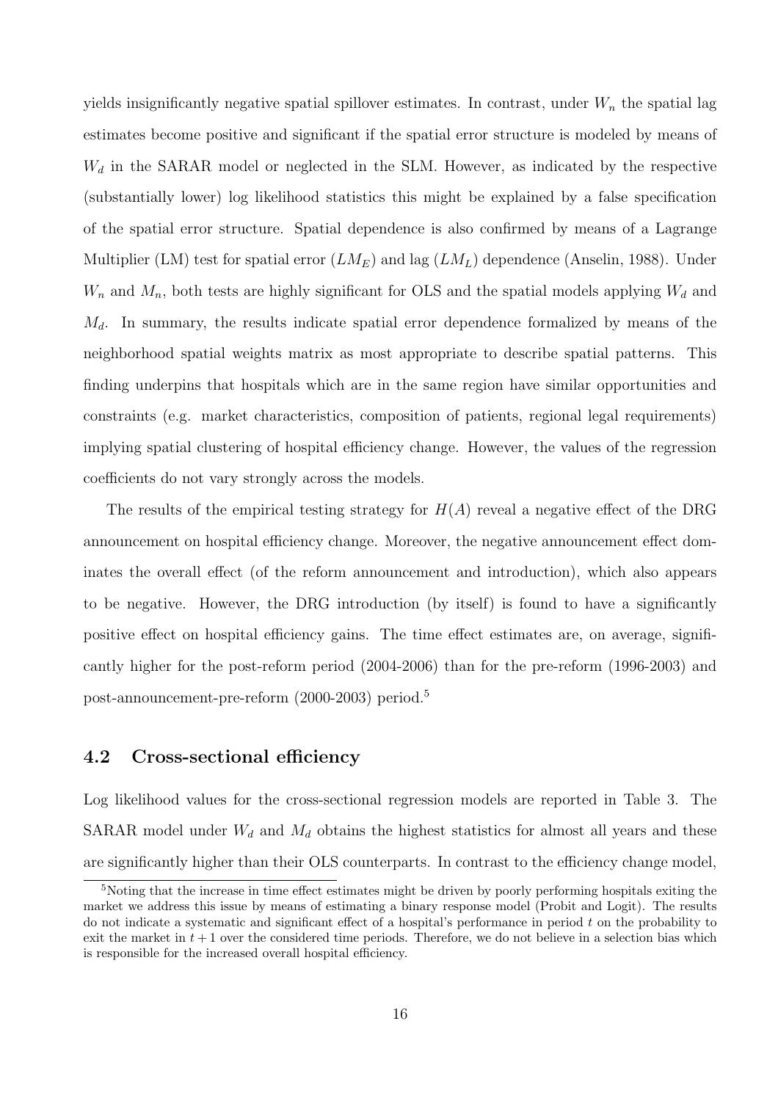yields insignificantly negative spatial spillover estimates. In contrast, under  $W_n$  the spatial lag estimates become positive and significant if the spatial error structure is modeled by means of  $W_d$  in the SARAR model or neglected in the SLM. However, as indicated by the respective (substantially lower) log likelihood statistics this might be explained by a false specification of the spatial error structure. Spatial dependence is also confirmed by means of a Lagrange Multiplier (LM) test for spatial error  $(LM_E)$  and lag  $(LM_L)$  dependence (Anselin, 1988). Under  $W_n$  and  $M_n$ , both tests are highly significant for OLS and the spatial models applying  $W_d$  and  $M_d$ . In summary, the results indicate spatial error dependence formalized by means of the neighborhood spatial weights matrix as most appropriate to describe spatial patterns. This finding underpins that hospitals which are in the same region have similar opportunities and constraints (e.g. market characteristics, composition of patients, regional legal requirements) implying spatial clustering of hospital efficiency change. However, the values of the regression coefficients do not vary strongly across the models.

The results of the empirical testing strategy for  $H(A)$  reveal a negative effect of the DRG announcement on hospital efficiency change. Moreover, the negative announcement effect dominates the overall effect (of the reform announcement and introduction), which also appears to be negative. However, the DRG introduction (by itself) is found to have a significantly positive effect on hospital efficiency gains. The time effect estimates are, on average, significantly higher for the post-reform period (2004-2006) than for the pre-reform (1996-2003) and post-announcement-pre-reform (2000-2003) period.<sup>5</sup>

#### 4.2 Cross-sectional efficiency

Log likelihood values for the cross-sectional regression models are reported in Table 3. The SARAR model under  $W_d$  and  $M_d$  obtains the highest statistics for almost all years and these are significantly higher than their OLS counterparts. In contrast to the efficiency change model,

<sup>5</sup>Noting that the increase in time effect estimates might be driven by poorly performing hospitals exiting the market we address this issue by means of estimating a binary response model (Probit and Logit). The results do not indicate a systematic and significant effect of a hospital's performance in period  $t$  on the probability to exit the market in  $t + 1$  over the considered time periods. Therefore, we do not believe in a selection bias which is responsible for the increased overall hospital efficiency.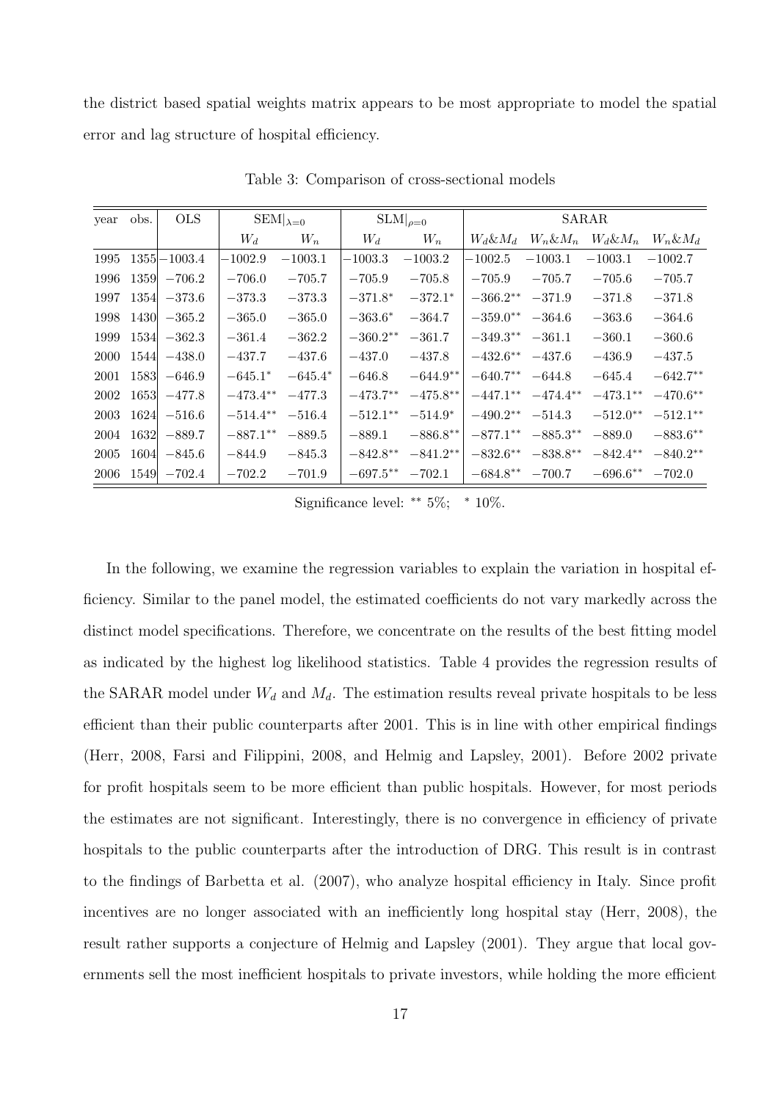the district based spatial weights matrix appears to be most appropriate to model the spatial error and lag structure of hospital efficiency.

| year | obs.        | <b>OLS</b>      |             | $SEM _{\lambda=0}$ | $SLM _{\rho=0}$ |             |              | <b>SARAR</b> |              |              |
|------|-------------|-----------------|-------------|--------------------|-----------------|-------------|--------------|--------------|--------------|--------------|
|      |             |                 | $W_d$       | $W_n$              | $W_d$           | $W_n$       | $W_d \& M_d$ | $W_n \& M_n$ | $W_d \& M_n$ | $W_n \& M_d$ |
| 1995 |             | $1355 - 1003.4$ | $-1002.9$   | $-1003.1$          | $-1003.3$       | $-1003.2$   | $-1002.5\,$  | $-1003.1$    | $-1003.1$    | $-1002.7$    |
| 1996 | 1359        | $-706.2$        | $-706.0$    | $-705.7$           | $-705.9$        | $-705.8$    | $-705.9$     | $-705.7$     | $-705.6$     | $-705.7$     |
| 1997 | 1354        | $-373.6$        | $-373.3$    | $-373.3$           | $-371.8*$       | $-372.1*$   | $-366.2**$   | $-371.9$     | $-371.8$     | $-371.8$     |
| 1998 | <b>1430</b> | $-365.2$        | $-365.0$    | $-365.0$           | $-363.6*$       | $-364.7$    | $-359.0**$   | $-364.6$     | $-363.6$     | $-364.6$     |
| 1999 | 1534        | $-362.3$        | $-361.4$    | $-362.2$           | $-360.2**$      | $-361.7$    | $-349.3**$   | $-361.1$     | $-360.1$     | $-360.6$     |
| 2000 | 1544        | $-438.0$        | $-437.7$    | $-437.6$           | $-437.0$        | $-437.8$    | $-432.6***$  | $-437.6$     | $-436.9$     | $-437.5$     |
| 2001 | 1583        | $-646.9$        | $-645.1*$   | $-645.4*$          | $-646.8$        | $-644.9**$  | $-640.7***$  | $-644.8$     | $-645.4$     | $-642.7***$  |
| 2002 | 1653        | $-477.8$        | $-473.4**$  | $-477.3$           | $-473.7**$      | $-475.8***$ | $-447.1***$  | $-474.4***$  | $-473.1**$   | $-470.6$ **  |
| 2003 | 1624        | $-516.6$        | $-514.4***$ | $-516.4$           | $-512.1***$     | $-514.9*$   | $-490.2**$   | $-514.3$     | $-512.0**$   | $-512.1**$   |
| 2004 | 1632        | $-889.7$        | $-887.1***$ | $-889.5$           | $-889.1$        | $-886.8**$  | $-877.1***$  | $-885.3**$   | $-889.0$     | $-883.6***$  |
| 2005 | 1604        | $-845.6$        | $-844.9$    | $-845.3$           | $-842.8**$      | $-841.2**$  | $-832.6***$  | $-838.8**$   | $-842.4**$   | $-840.2**$   |
| 2006 | 1549        | $-702.4$        | $-702.2$    | $-701.9$           | $-697.5***$     | $-702.1$    | $-684.8***$  | $-700.7$     | $-696.6**$   | $-702.0$     |

Table 3: Comparison of cross-sectional models

Significance level: ∗∗ 5%; <sup>∗</sup> 10%.

In the following, we examine the regression variables to explain the variation in hospital efficiency. Similar to the panel model, the estimated coefficients do not vary markedly across the distinct model specifications. Therefore, we concentrate on the results of the best fitting model as indicated by the highest log likelihood statistics. Table 4 provides the regression results of the SARAR model under  $W_d$  and  $M_d$ . The estimation results reveal private hospitals to be less efficient than their public counterparts after 2001. This is in line with other empirical findings (Herr, 2008, Farsi and Filippini, 2008, and Helmig and Lapsley, 2001). Before 2002 private for profit hospitals seem to be more efficient than public hospitals. However, for most periods the estimates are not significant. Interestingly, there is no convergence in efficiency of private hospitals to the public counterparts after the introduction of DRG. This result is in contrast to the findings of Barbetta et al. (2007), who analyze hospital efficiency in Italy. Since profit incentives are no longer associated with an inefficiently long hospital stay (Herr, 2008), the result rather supports a conjecture of Helmig and Lapsley (2001). They argue that local governments sell the most inefficient hospitals to private investors, while holding the more efficient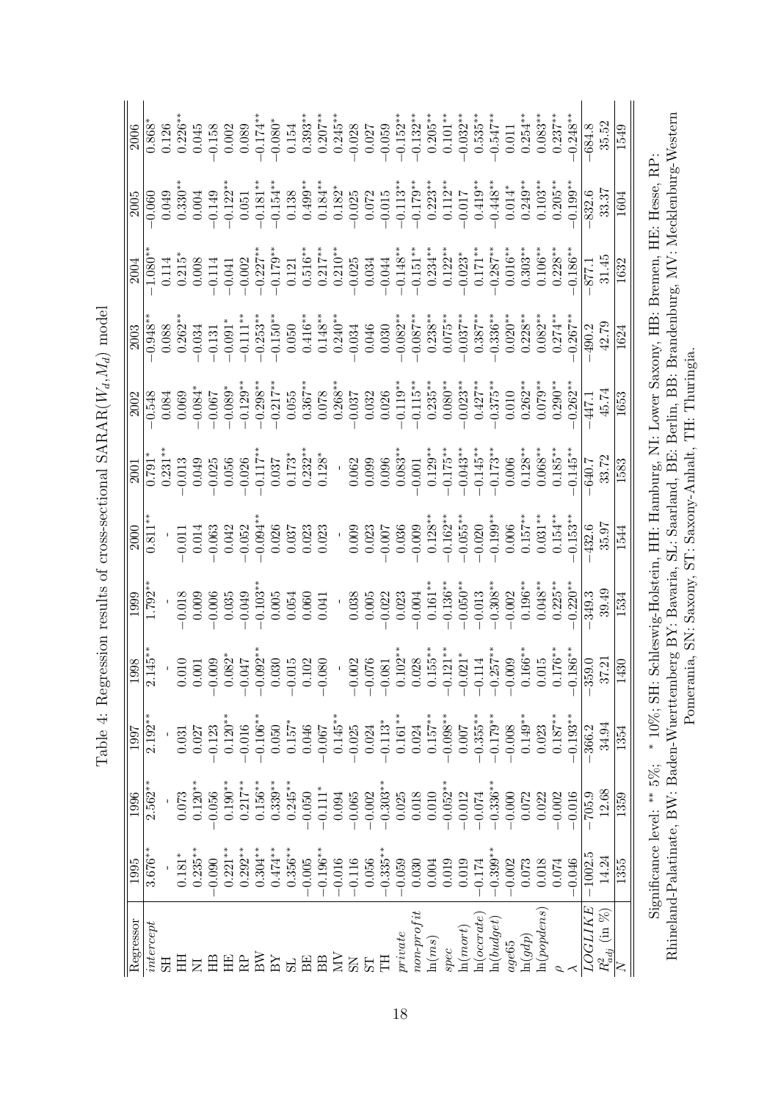| I                              |
|--------------------------------|
| l                              |
|                                |
|                                |
| ı                              |
| .<br>.<br>.                    |
| ı                              |
| ı                              |
| <br> <br> <br> <br>i<br>i<br>i |
| ้<br>เ<br>こくこく                 |
|                                |
| ۱<br>پا<br>こうこく こうしょう          |
| i<br>ı<br>J                    |
| ;<br>;<br>$\left( \right)$     |
| :                              |
| ı<br>י<br> <br> <br>I<br>Ī     |

| Regressor                         | $\overline{1995}$ | 1996                       | 1997           | 1998           | 1999        | 2000       | 2001       | 2002                                                     | 2003       | 2004                 | 2005                                                                                                                         | 2006       |
|-----------------------------------|-------------------|----------------------------|----------------|----------------|-------------|------------|------------|----------------------------------------------------------|------------|----------------------|------------------------------------------------------------------------------------------------------------------------------|------------|
| $\emph{intercept}$                | $3.676**$         | $2.562**$                  | $2.192**$      | $.145**$       | $1.792**$   | $0.811**$  | $0.791*$   | $-0.548$                                                 | $-0.948*$  | $0.080**$            | $-0.060$                                                                                                                     | $0.868*$   |
| ЭH                                |                   |                            |                |                |             |            | $0.231***$ | 0.084                                                    | 0.088      | 0.114                | 0.049                                                                                                                        | 0.126      |
| Ξ                                 | $0.181^{\ast}$    | 0.073                      | $\!0.031$      | 010            | $-0.018$    | 0.011      | 0.013      | 0.069                                                    | $0.262**$  | $0.215$ <sup>*</sup> | $0.330***$                                                                                                                   | $0.226**$  |
|                                   | $0.235***$        | $0.120**$                  | 0.027          | $\overline{0}$ | 0.009       | 0.014      | 0.049      | $-0.084*$                                                | $-0.034$   | 0.008                | 0.004                                                                                                                        | 0.045      |
| ÊЕ                                | 0.090             | 0.056                      | $-0.123$       | 009            | $-0.006$    | $-0.063$   | $-0.025$   | $-0.067$                                                 | $-0.131$   | $-0.114$             | $-0.149$                                                                                                                     | 0.158      |
| ΗE                                | $0.221**$         | $0.190^{\ast\ast}$         | $0.120**$      | $.082*$        | 0.035       | 0.042      | 0.056      | $-0.089*$                                                | $-0.091*$  | $-0.041$             | $-0.122**$                                                                                                                   | 0.002      |
| <b>RP</b>                         | $0.292**$         | $0.217***$                 | $-0.016$       | 710.           | $-0.049$    | $-0.052$   | $-0.026$   | $-0.129**$                                               | $-0.111**$ | $-0.002$             | 0.051                                                                                                                        | 0.089      |
| BN                                | $0.304***$        | $0.156***$                 | $-0.106**$     | $.092*$        | $-0.103**$  | $0.094*$   | $-0.117**$ | $-0.298**$                                               | $-0.253**$ | $-0.227**$           | $-0.181**$                                                                                                                   | $-0.174**$ |
| $_{\rm BY}$                       | $0.474**$         | $0.339***$                 | 0.050          | 030            | 0.005       | 0.026      | 0.037      | $-0.217***$                                              | $-0.150**$ | $-0.179**$           | $-0.154**$                                                                                                                   | $0.080*$   |
| 5 <sub>1</sub>                    | $0.356***$        | $0.245***$                 | $0.157^{\ast}$ | 015            | 0.054       | 0.037      | $0.173*$   | 0.055                                                    | 0.050      | 0.121                | 0.138                                                                                                                        | 0.154      |
| <b>BE</b>                         | $-0.005$          | $-0.050$                   | 0.046          | .102           | 0.060       | 0.023      | $0.232***$ | $0.367***$                                               | $0.416***$ | $0.516^{\ast\ast}$   | $0.499***$                                                                                                                   | $0.393***$ |
| <b>BB</b>                         | $-0.196***$       | $-0.111*$                  | $-0.067$       | .080           | 0.041       | 0.023      | $0.128*$   | 0.078                                                    | $0.148**$  | $0.217***$           | $0.184***$                                                                                                                   | $0.207**$  |
| Ň                                 | $-0.016$          | 0.094                      | $0.145***$     |                |             |            |            | $0.268***$                                               | $0.240**$  | $0.210**$            | $0.182*$                                                                                                                     | $0.245**$  |
| SS                                | $-0.116$          | $-0.065$                   | $-0.025$       | .002           | 0.038       | 0.009      | 0.062      | 0.037                                                    | $-0.034$   | $-0.025$             | $-0.025$                                                                                                                     | $-0.028$   |
| 5T                                | 0.056             | $-0.002$                   | 0.024          | .076           | 0.005       | 0.023      | 0.099      | 0.032                                                    | 0.046      | 0.034                | 0.072                                                                                                                        | 0.027      |
| 핅                                 | $-0.335***$       | $-0.303**$                 | $-0.113*$      | .081           | 0.022       | 0.007      | 0.096      | 0.026                                                    | 0.030      | $-0.044$             | $-0.015$                                                                                                                     | $-0.059$   |
| priate                            | $-0.059$          | 0.025                      | $0.161***$     | $.102**$       | 0.023       | 0.036      | $0.083***$ | $0.119**$                                                | $-0.082**$ | $-0.148**$           | $-0.113**$                                                                                                                   | $-0.152**$ |
| $non-profit$                      | 0.030             | 0.018                      | 0.024          | .028           | 0.004       | 0.009      | 0.001      | $0.115***$                                               | $-0.087**$ | $-0.151***$          | $-0.179**$                                                                                                                   | $-0.132**$ |
| $\ln(ms)$                         | 0.004             | 0.010                      | $0.157***$     | $.155***$      | $0.161***$  | $0.128**$  | $0.129***$ | $0.235***$                                               | $0.238***$ | $0.234***$           | $0.223**$                                                                                                                    | $0.205***$ |
| spec                              | 0.019             | $0.052***$                 | $-0.098***$    | $.121***$      | $-0.136***$ | $0.162**$  | $-0.175**$ | $0.080**$                                                | $0.075***$ | $0.122***$           | $0.112***$                                                                                                                   | $0.101**$  |
| $\ln(mort)$                       | 0.019             | $-0.012$                   | 100.0          | $.021*$        | $-0.050**$  | $0.055***$ | $-0.043**$ | $0.023**$                                                | $0.037***$ | $0.023*$             | 0.017                                                                                                                        | $0.032***$ |
| ln(occrate)                       | $-0.174$          | $-0.074$                   | $-0.355***$    | .114           | $-0.013$    | $-0.020$   | $-0.145**$ | $0.427***$                                               | $0.387***$ | $0.171**$            | $0.419**$                                                                                                                    | $0.535***$ |
| $\ln(budget)$                     | $-0.399**$        | $0.336***$                 | $-0.179***$    | $.257***$      | $-0.308**$  | $0.199***$ | $-0.173**$ | $0.375***$                                               | $0.336***$ | $0.287***$           | $0.448**$                                                                                                                    | $0.547**$  |
| $age 65$                          | $-0.002$          | $-0.000$                   | $-0.008$       | 000            | $-0.002$    | 0.006      | 0.006      | 0.010                                                    | $0.020**$  | $0.016**$            | $0.014*$                                                                                                                     | 0.011      |
| $\ln(gdp)$                        | 0.073             | 0.072                      | $0.149**$      | $0.166***$     | $0.196***$  | $0.157***$ | $0.128**$  | $0.262***$                                               | $0.228**$  | $0.303***$           | $0.249***$                                                                                                                   | $0.254***$ |
| ln(popdens)                       | 0.018             | 0.022                      | 0.023          | 0.015          | $0.048**$   | $0.031***$ | $0.068**$  | $0.079**$                                                | $0.082**$  | $0.106***$           | $0.103***$                                                                                                                   | $0.083***$ |
|                                   | 0.074             | $-0.002$                   | $0.187***$     | $0.176**$      | $0.225***$  | $0.154***$ | $0.185**$  | $0.290**$                                                | $0.274**$  | $0.228**$            | $0.205***$                                                                                                                   | $0.237***$ |
|                                   | $-0.046$          | $-0.016$                   | $-0.193**$     | $0.186**$      | $0.220***$  | $0.153***$ | $0.145***$ | $0.262**$                                                | $0.267***$ | $0.186***$           | $0.199***$                                                                                                                   | $0.248***$ |
| <i>LOGLIKE</i>                    | $-1002.5$         | $-705.9$                   | $-366.2$       | $-359.0$       | 349.3       | $-432.6$   | $-640.7$   | $-447.1$                                                 | $-490.2$   | 877.1                | 832.6                                                                                                                        | $-684.8$   |
| $R^2_{adj} \; (\text{in} \; \% )$ | 14.24             | 12.68                      | 34.94          | 37.21          | 39.49       | 35.97      | 33.72      | 45.74                                                    | 42.79      | 31.45                | 33.37                                                                                                                        | 35.52      |
| ≿                                 | 1355              | 1359                       | 1354           | 1430           | 1534        | 1544       | 1583       | 1653                                                     | 1624       | 1632                 | 1604                                                                                                                         | 1549       |
|                                   |                   | Significance level: ** 5%; | * 10%; SH      |                |             |            |            |                                                          |            |                      | Schleswig-Holstein, HH: Hamburg, NI: Lower Saxony, HB: Bremen, HE: Hesse, RP:                                                |            |
|                                   |                   |                            |                |                |             |            |            |                                                          |            |                      | Rhineland-Palatinate, BW: Baden-Wuerttemberg BY: Bavaria, SL: Saarland, BE: Berlin, BB: Brandenburg, MV: Mecklenburg-Western |            |
|                                   |                   |                            |                |                |             |            |            |                                                          |            |                      |                                                                                                                              |            |
|                                   |                   |                            |                |                |             |            |            | Pomerania, SN: Saxony, ST: Saxony-Anhalt, TH: Thuringia. |            |                      |                                                                                                                              |            |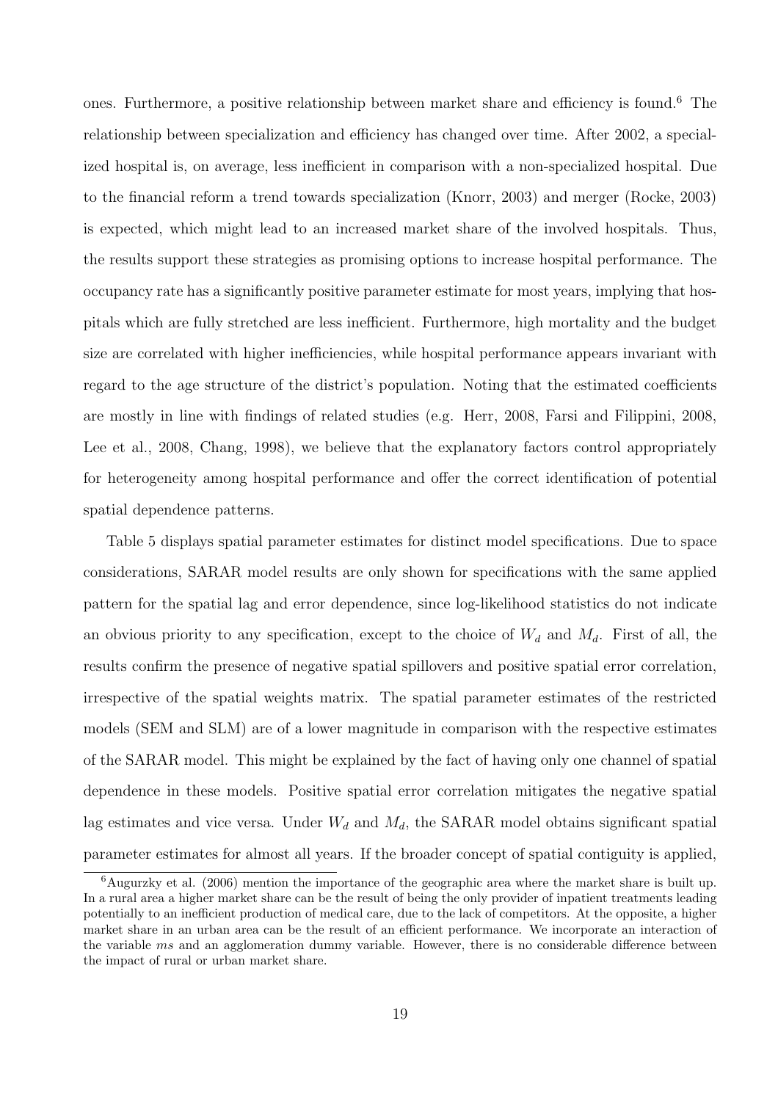ones. Furthermore, a positive relationship between market share and efficiency is found.<sup>6</sup> The relationship between specialization and efficiency has changed over time. After 2002, a specialized hospital is, on average, less inefficient in comparison with a non-specialized hospital. Due to the financial reform a trend towards specialization (Knorr, 2003) and merger (Rocke, 2003) is expected, which might lead to an increased market share of the involved hospitals. Thus, the results support these strategies as promising options to increase hospital performance. The occupancy rate has a significantly positive parameter estimate for most years, implying that hospitals which are fully stretched are less inefficient. Furthermore, high mortality and the budget size are correlated with higher inefficiencies, while hospital performance appears invariant with regard to the age structure of the district's population. Noting that the estimated coefficients are mostly in line with findings of related studies (e.g. Herr, 2008, Farsi and Filippini, 2008, Lee et al., 2008, Chang, 1998), we believe that the explanatory factors control appropriately for heterogeneity among hospital performance and offer the correct identification of potential spatial dependence patterns.

Table 5 displays spatial parameter estimates for distinct model specifications. Due to space considerations, SARAR model results are only shown for specifications with the same applied pattern for the spatial lag and error dependence, since log-likelihood statistics do not indicate an obvious priority to any specification, except to the choice of  $W_d$  and  $M_d$ . First of all, the results confirm the presence of negative spatial spillovers and positive spatial error correlation, irrespective of the spatial weights matrix. The spatial parameter estimates of the restricted models (SEM and SLM) are of a lower magnitude in comparison with the respective estimates of the SARAR model. This might be explained by the fact of having only one channel of spatial dependence in these models. Positive spatial error correlation mitigates the negative spatial lag estimates and vice versa. Under  $W_d$  and  $M_d$ , the SARAR model obtains significant spatial parameter estimates for almost all years. If the broader concept of spatial contiguity is applied,

<sup>6</sup>Augurzky et al. (2006) mention the importance of the geographic area where the market share is built up. In a rural area a higher market share can be the result of being the only provider of inpatient treatments leading potentially to an inefficient production of medical care, due to the lack of competitors. At the opposite, a higher market share in an urban area can be the result of an efficient performance. We incorporate an interaction of the variable ms and an agglomeration dummy variable. However, there is no considerable difference between the impact of rural or urban market share.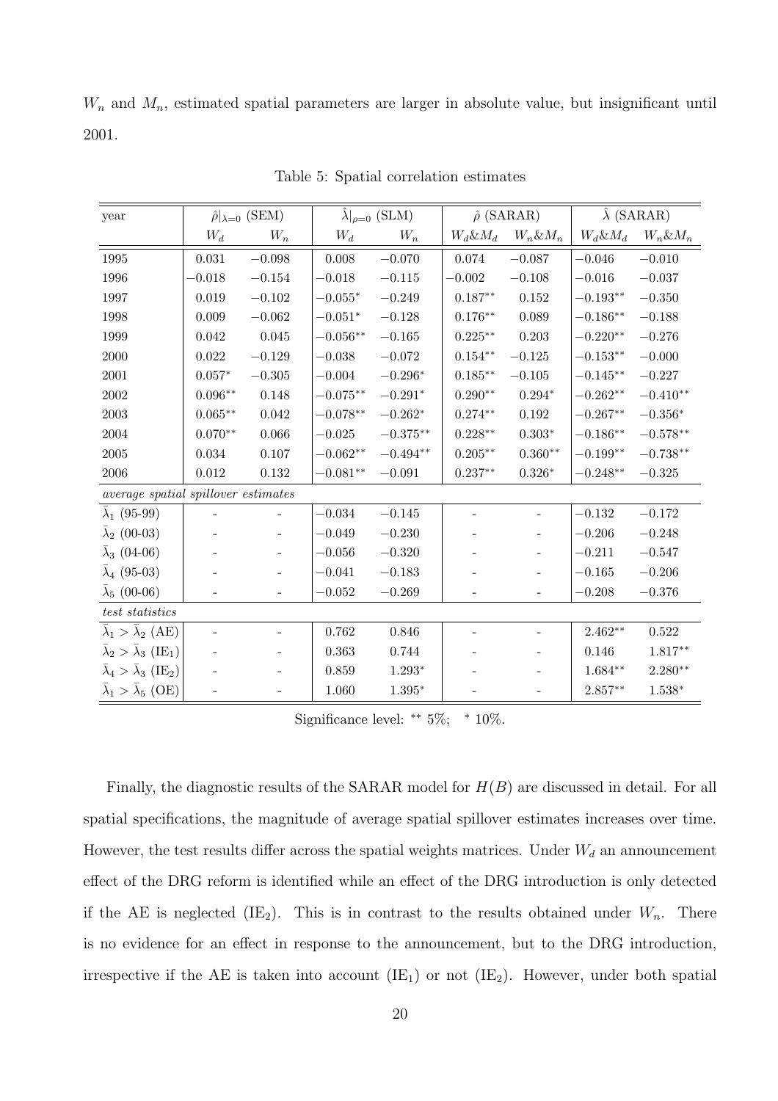$W_n$  and  $M_n$ , estimated spatial parameters are larger in absolute value, but insignificant until 2001.

| year                                               |                          | $\hat{\rho} _{\lambda=0}$ (SEM) |                     | $\lambda _{\rho=0}$ (SLM) |                          | $\hat{\rho}$ (SARAR)     | $\hat{\lambda}$ (SARAR) |                 |
|----------------------------------------------------|--------------------------|---------------------------------|---------------------|---------------------------|--------------------------|--------------------------|-------------------------|-----------------|
|                                                    | $W_d$                    | $W_n$                           | $W_d$               | $W_n$                     | $W_d \& M_d$             | $W_n \& M_n$             | $W_d \& M_d$            | $W_n \& M_n$    |
| 1995                                               | 0.031                    | $-0.098$                        | 0.008               | $-0.070$                  | 0.074                    | $-0.087$                 | $-0.046$                | $-0.010$        |
| 1996                                               | $-0.018$                 | $-0.154$                        | $-0.018$            | $-0.115$                  | $-0.002$                 | $-0.108$                 | $-0.016$                | $-0.037$        |
| 1997                                               | 0.019                    | $-0.102$                        | $-0.055*$           | $-0.249$                  | $0.187**$                | $0.152\,$                | $-0.193^{\ast\ast}$     | $-0.350$        |
| 1998                                               | 0.009                    | $-0.062$                        | $-0.051*$           | $-0.128$                  | $0.176**$                | 0.089                    | $-0.186**$              | $-0.188$        |
| 1999                                               | 0.042                    | $\,0.045\,$                     | $-0.056**$          | $-0.165$                  | $0.225***$               | 0.203                    | $-0.220**$              | $-0.276$        |
| 2000                                               | 0.022                    | $-0.129$                        | $-0.038$            | $-0.072$                  | $0.154^{\ast\ast}$       | $-0.125$                 | $-0.153**$              | $-0.000$        |
| $2001\,$                                           | $0.057*$                 | $-0.305$                        | $-0.004$            | $-0.296*$                 | $0.185**$                | $-0.105$                 | $-0.145**$              | $-0.227$        |
| $\,2002\,$                                         | $0.096**$                | 0.148                           | $-0.075**$          | $-0.291*$                 | $0.290**$                | $0.294*$                 | $-0.262**$              | $-0.410**$      |
| 2003                                               | $0.065***$               | 0.042                           | $-0.078**$          | $-0.262*$                 | $0.274**$                | 0.192                    | $-0.267**$              | $-0.356^{\ast}$ |
| 2004                                               | $0.070**$                | 0.066                           | $-0.025$            | $-0.375***$               | $0.228**$                | $0.303*$                 | $-0.186**$              | $-0.578**$      |
| $\,2005\,$                                         | 0.034                    | 0.107                           | $-0.062^{\ast\ast}$ | $-0.494^{\ast\ast}$       | $0.205^{\ast\ast}$       | $0.360^{\ast\ast}$       | $-0.199**$              | $-0.738**$      |
| 2006                                               | 0.012                    | 0.132                           | $-0.081**$          | $-0.091$                  | $0.237**$                | $0.326^{\ast}$           | $-0.248^{\ast\ast}$     | $-0.325$        |
| average spatial spillover estimates                |                          |                                 |                     |                           |                          |                          |                         |                 |
| $\bar{\lambda}_1$ (95-99)                          |                          |                                 | $-0.034$            | $-0.145$                  |                          | $\overline{\phantom{a}}$ | $-0.132$                | $-0.172$        |
| $\bar{\lambda}_2$ (00-03)                          |                          | $\qquad \qquad \blacksquare$    | $-0.049$            | $-0.230$                  |                          |                          | $-0.206$                | $-0.248$        |
| $\bar{\lambda}_3$ (04-06)                          |                          |                                 | $-0.056$            | $-0.320$                  |                          |                          | $-0.211$                | $-0.547$        |
| $\bar{\lambda}_4$ (95-03)                          |                          | $\qquad \qquad -$               | $-0.041$            | $-0.183$                  |                          | $\qquad \qquad -$        | $-0.165$                | $-0.206$        |
| $\bar{\lambda}_5$ (00-06)                          |                          | $\overline{\phantom{m}}$        | $-0.052$            | $-0.269$                  | $\overline{\phantom{a}}$ | $\overline{\phantom{a}}$ | $-0.208$                | $-0.376$        |
| $test$ statistics                                  |                          |                                 |                     |                           |                          |                          |                         |                 |
| $\bar{\lambda}_1 > \bar{\lambda}_2$ (AE)           | $\overline{\phantom{a}}$ | $\overline{\phantom{m}}$        | 0.762               | 0.846                     | $\overline{\phantom{a}}$ | $\overline{\phantom{m}}$ | $2.462**$               | 0.522           |
| $\bar{\lambda}_2 > \bar{\lambda}_3 \text{ (IE)}$   |                          | $\overline{\phantom{a}}$        | 0.363               | 0.744                     |                          | $\overline{\phantom{a}}$ | 0.146                   | $1.817**$       |
| $\bar{\lambda}_4 > \bar{\lambda}_3 \text{ (IE}_2)$ |                          | $\overline{\phantom{a}}$        | 0.859               | $1.293*$                  |                          | $\overline{\phantom{a}}$ | $1.684**$               | $2.280**$       |
| $\bar{\lambda}_1 > \bar{\lambda}_5$ (OE)           | $\overline{\phantom{0}}$ | $\qquad \qquad \blacksquare$    | 1.060               | $1.395*$                  |                          |                          | $2.857**$               | $1.538*$        |

Table 5: Spatial correlation estimates

Significance level: ∗∗ 5%; <sup>∗</sup> 10%.

Finally, the diagnostic results of the SARAR model for  $H(B)$  are discussed in detail. For all spatial specifications, the magnitude of average spatial spillover estimates increases over time. However, the test results differ across the spatial weights matrices. Under  $W_d$  an announcement effect of the DRG reform is identified while an effect of the DRG introduction is only detected if the AE is neglected (IE<sub>2</sub>). This is in contrast to the results obtained under  $W_n$ . There is no evidence for an effect in response to the announcement, but to the DRG introduction, irrespective if the AE is taken into account  $(IE_1)$  or not  $(IE_2)$ . However, under both spatial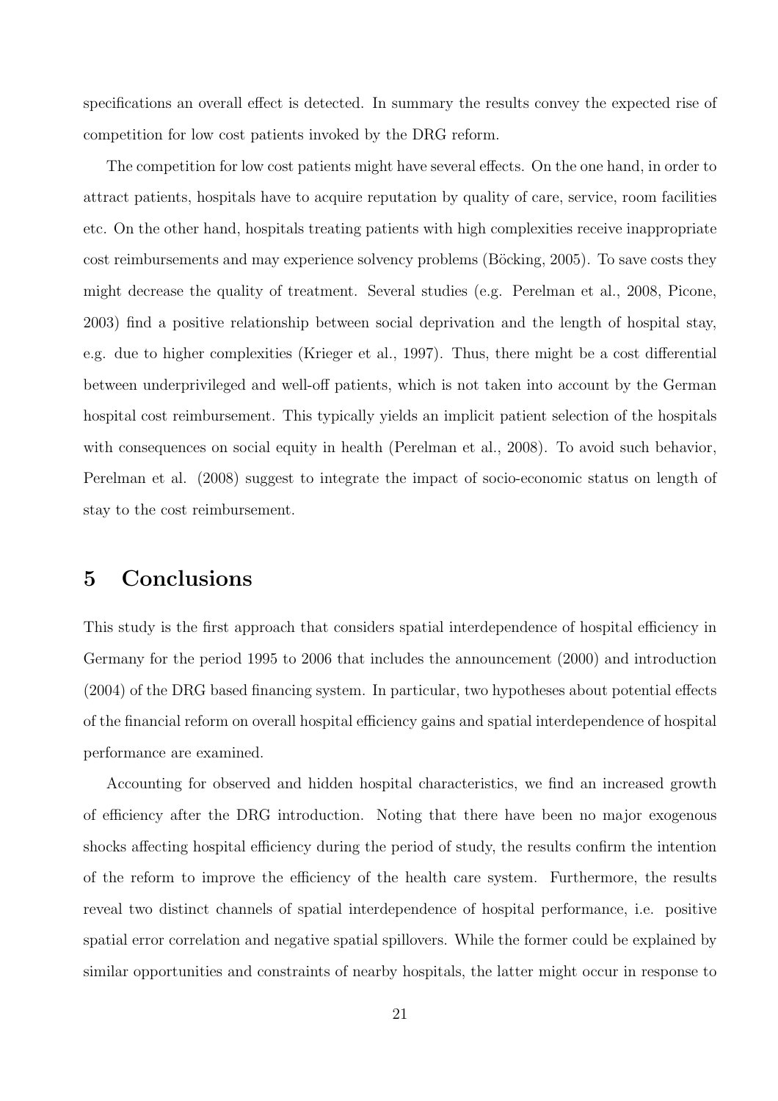specifications an overall effect is detected. In summary the results convey the expected rise of competition for low cost patients invoked by the DRG reform.

The competition for low cost patients might have several effects. On the one hand, in order to attract patients, hospitals have to acquire reputation by quality of care, service, room facilities etc. On the other hand, hospitals treating patients with high complexities receive inappropriate cost reimbursements and may experience solvency problems (Böcking, 2005). To save costs they might decrease the quality of treatment. Several studies (e.g. Perelman et al., 2008, Picone, 2003) find a positive relationship between social deprivation and the length of hospital stay, e.g. due to higher complexities (Krieger et al., 1997). Thus, there might be a cost differential between underprivileged and well-off patients, which is not taken into account by the German hospital cost reimbursement. This typically yields an implicit patient selection of the hospitals with consequences on social equity in health (Perelman et al., 2008). To avoid such behavior, Perelman et al. (2008) suggest to integrate the impact of socio-economic status on length of stay to the cost reimbursement.

### 5 Conclusions

This study is the first approach that considers spatial interdependence of hospital efficiency in Germany for the period 1995 to 2006 that includes the announcement (2000) and introduction (2004) of the DRG based financing system. In particular, two hypotheses about potential effects of the financial reform on overall hospital efficiency gains and spatial interdependence of hospital performance are examined.

Accounting for observed and hidden hospital characteristics, we find an increased growth of efficiency after the DRG introduction. Noting that there have been no major exogenous shocks affecting hospital efficiency during the period of study, the results confirm the intention of the reform to improve the efficiency of the health care system. Furthermore, the results reveal two distinct channels of spatial interdependence of hospital performance, i.e. positive spatial error correlation and negative spatial spillovers. While the former could be explained by similar opportunities and constraints of nearby hospitals, the latter might occur in response to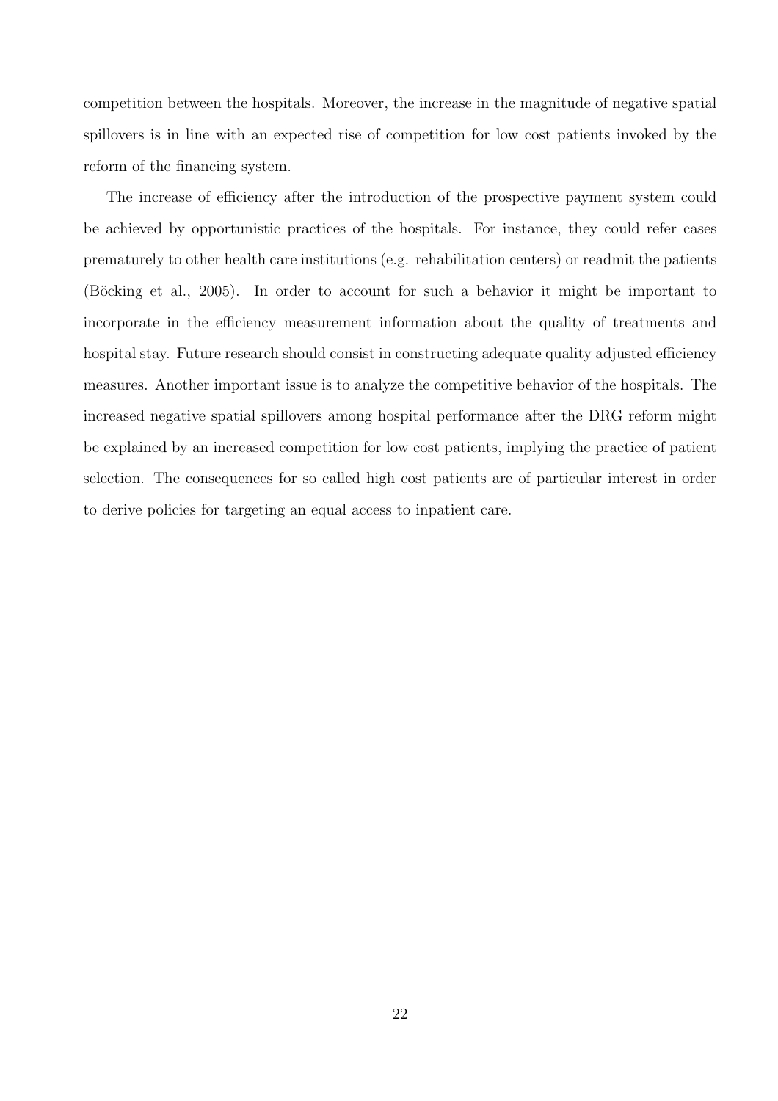competition between the hospitals. Moreover, the increase in the magnitude of negative spatial spillovers is in line with an expected rise of competition for low cost patients invoked by the reform of the financing system.

The increase of efficiency after the introduction of the prospective payment system could be achieved by opportunistic practices of the hospitals. For instance, they could refer cases prematurely to other health care institutions (e.g. rehabilitation centers) or readmit the patients (Böcking et al., 2005). In order to account for such a behavior it might be important to incorporate in the efficiency measurement information about the quality of treatments and hospital stay. Future research should consist in constructing adequate quality adjusted efficiency measures. Another important issue is to analyze the competitive behavior of the hospitals. The increased negative spatial spillovers among hospital performance after the DRG reform might be explained by an increased competition for low cost patients, implying the practice of patient selection. The consequences for so called high cost patients are of particular interest in order to derive policies for targeting an equal access to inpatient care.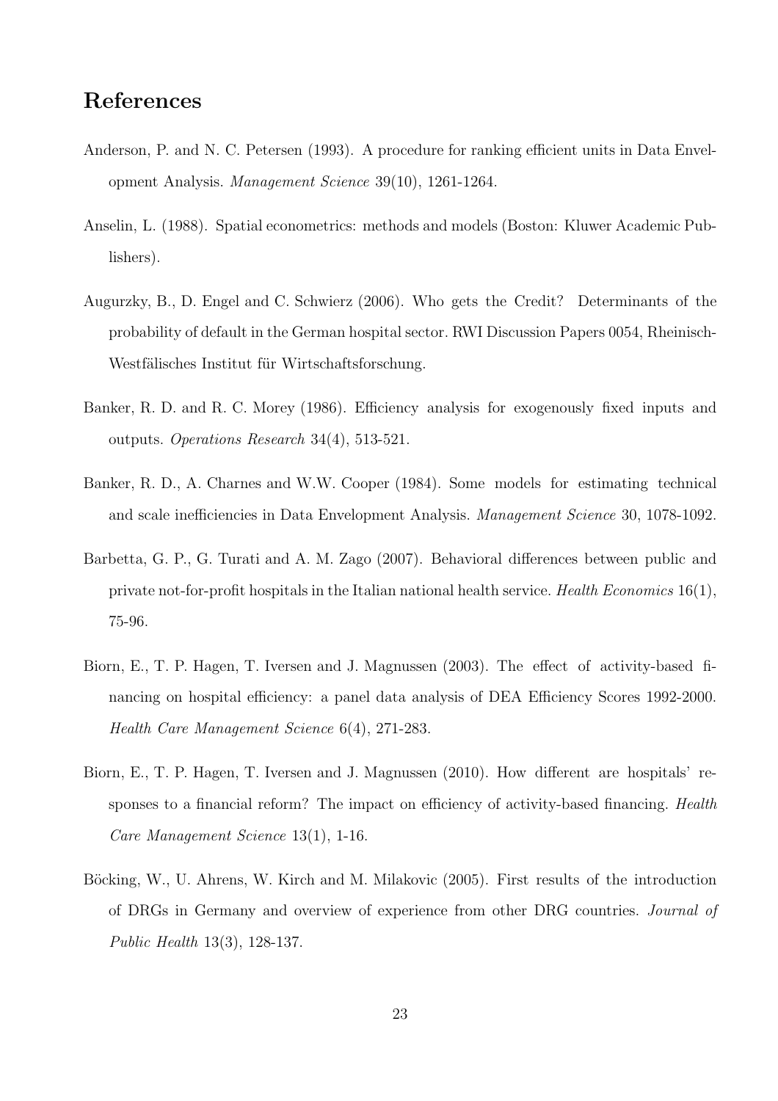## References

- Anderson, P. and N. C. Petersen (1993). A procedure for ranking efficient units in Data Envelopment Analysis. Management Science 39(10), 1261-1264.
- Anselin, L. (1988). Spatial econometrics: methods and models (Boston: Kluwer Academic Publishers).
- Augurzky, B., D. Engel and C. Schwierz (2006). Who gets the Credit? Determinants of the probability of default in the German hospital sector. RWI Discussion Papers 0054, Rheinisch-Westfälisches Institut für Wirtschaftsforschung.
- Banker, R. D. and R. C. Morey (1986). Efficiency analysis for exogenously fixed inputs and outputs. Operations Research 34(4), 513-521.
- Banker, R. D., A. Charnes and W.W. Cooper (1984). Some models for estimating technical and scale inefficiencies in Data Envelopment Analysis. Management Science 30, 1078-1092.
- Barbetta, G. P., G. Turati and A. M. Zago (2007). Behavioral differences between public and private not-for-profit hospitals in the Italian national health service. Health Economics  $16(1)$ , 75-96.
- Biorn, E., T. P. Hagen, T. Iversen and J. Magnussen (2003). The effect of activity-based financing on hospital efficiency: a panel data analysis of DEA Efficiency Scores 1992-2000. Health Care Management Science 6(4), 271-283.
- Biorn, E., T. P. Hagen, T. Iversen and J. Magnussen (2010). How different are hospitals' responses to a financial reform? The impact on efficiency of activity-based financing. Health Care Management Science 13(1), 1-16.
- Böcking, W., U. Ahrens, W. Kirch and M. Milakovic (2005). First results of the introduction of DRGs in Germany and overview of experience from other DRG countries. Journal of Public Health 13(3), 128-137.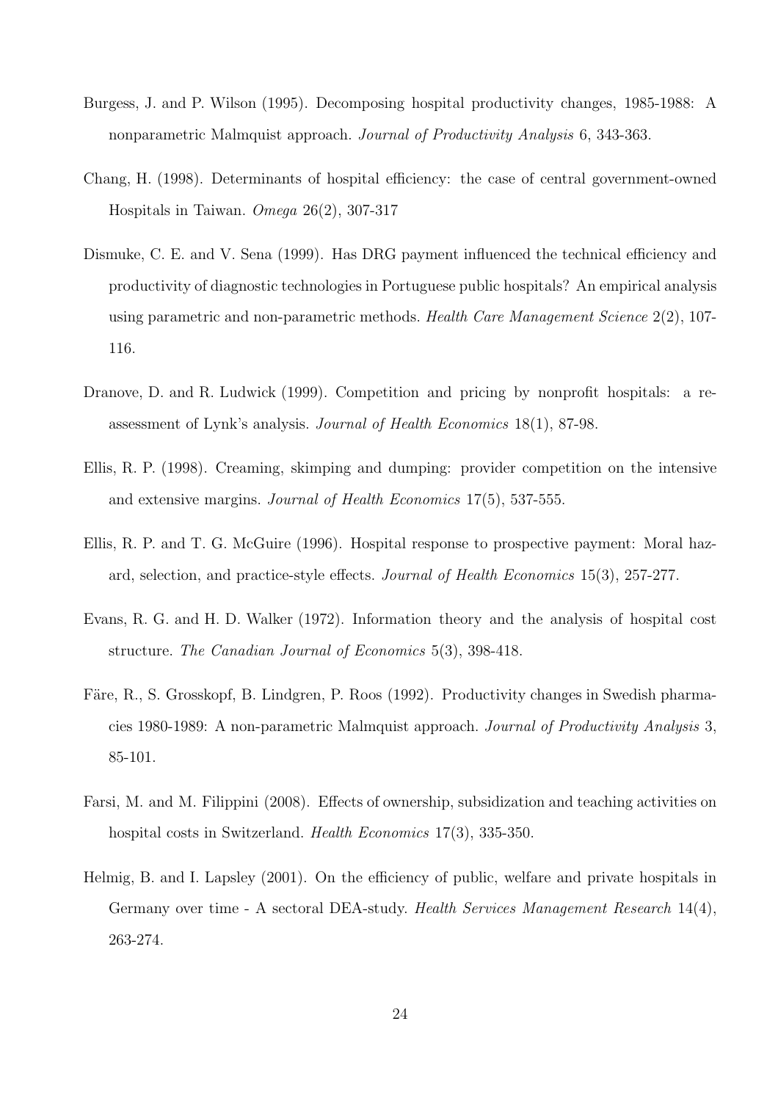- Burgess, J. and P. Wilson (1995). Decomposing hospital productivity changes, 1985-1988: A nonparametric Malmquist approach. Journal of Productivity Analysis 6, 343-363.
- Chang, H. (1998). Determinants of hospital efficiency: the case of central government-owned Hospitals in Taiwan. Omega 26(2), 307-317
- Dismuke, C. E. and V. Sena (1999). Has DRG payment influenced the technical efficiency and productivity of diagnostic technologies in Portuguese public hospitals? An empirical analysis using parametric and non-parametric methods. Health Care Management Science 2(2), 107-116.
- Dranove, D. and R. Ludwick (1999). Competition and pricing by nonprofit hospitals: a reassessment of Lynk's analysis. Journal of Health Economics 18(1), 87-98.
- Ellis, R. P. (1998). Creaming, skimping and dumping: provider competition on the intensive and extensive margins. Journal of Health Economics 17(5), 537-555.
- Ellis, R. P. and T. G. McGuire (1996). Hospital response to prospective payment: Moral hazard, selection, and practice-style effects. Journal of Health Economics 15(3), 257-277.
- Evans, R. G. and H. D. Walker (1972). Information theory and the analysis of hospital cost structure. The Canadian Journal of Economics 5(3), 398-418.
- Färe, R., S. Grosskopf, B. Lindgren, P. Roos (1992). Productivity changes in Swedish pharmacies 1980-1989: A non-parametric Malmquist approach. Journal of Productivity Analysis 3, 85-101.
- Farsi, M. and M. Filippini (2008). Effects of ownership, subsidization and teaching activities on hospital costs in Switzerland. *Health Economics* 17(3), 335-350.
- Helmig, B. and I. Lapsley (2001). On the efficiency of public, welfare and private hospitals in Germany over time - A sectoral DEA-study. Health Services Management Research 14(4), 263-274.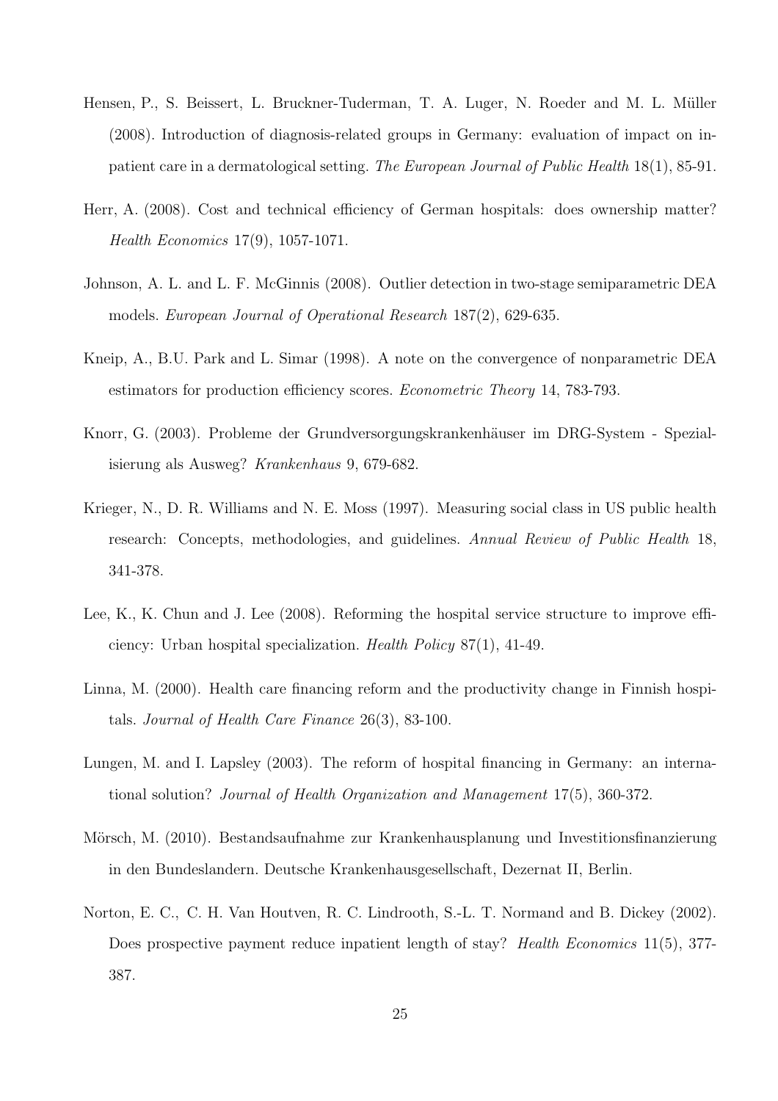- Hensen, P., S. Beissert, L. Bruckner-Tuderman, T. A. Luger, N. Roeder and M. L. Müller (2008). Introduction of diagnosis-related groups in Germany: evaluation of impact on inpatient care in a dermatological setting. The European Journal of Public Health 18(1), 85-91.
- Herr, A. (2008). Cost and technical efficiency of German hospitals: does ownership matter? Health Economics 17(9), 1057-1071.
- Johnson, A. L. and L. F. McGinnis (2008). Outlier detection in two-stage semiparametric DEA models. European Journal of Operational Research 187(2), 629-635.
- Kneip, A., B.U. Park and L. Simar (1998). A note on the convergence of nonparametric DEA estimators for production efficiency scores. Econometric Theory 14, 783-793.
- Knorr, G. (2003). Probleme der Grundversorgungskrankenhäuser im DRG-System Spezialisierung als Ausweg? Krankenhaus 9, 679-682.
- Krieger, N., D. R. Williams and N. E. Moss (1997). Measuring social class in US public health research: Concepts, methodologies, and guidelines. Annual Review of Public Health 18, 341-378.
- Lee, K., K. Chun and J. Lee (2008). Reforming the hospital service structure to improve efficiency: Urban hospital specialization. Health Policy 87(1), 41-49.
- Linna, M. (2000). Health care financing reform and the productivity change in Finnish hospitals. Journal of Health Care Finance 26(3), 83-100.
- Lungen, M. and I. Lapsley (2003). The reform of hospital financing in Germany: an international solution? Journal of Health Organization and Management 17(5), 360-372.
- Mörsch, M. (2010). Bestandsaufnahme zur Krankenhausplanung und Investitionsfinanzierung in den Bundeslandern. Deutsche Krankenhausgesellschaft, Dezernat II, Berlin.
- Norton, E. C., C. H. Van Houtven, R. C. Lindrooth, S.-L. T. Normand and B. Dickey (2002). Does prospective payment reduce inpatient length of stay? Health Economics 11(5), 377-387.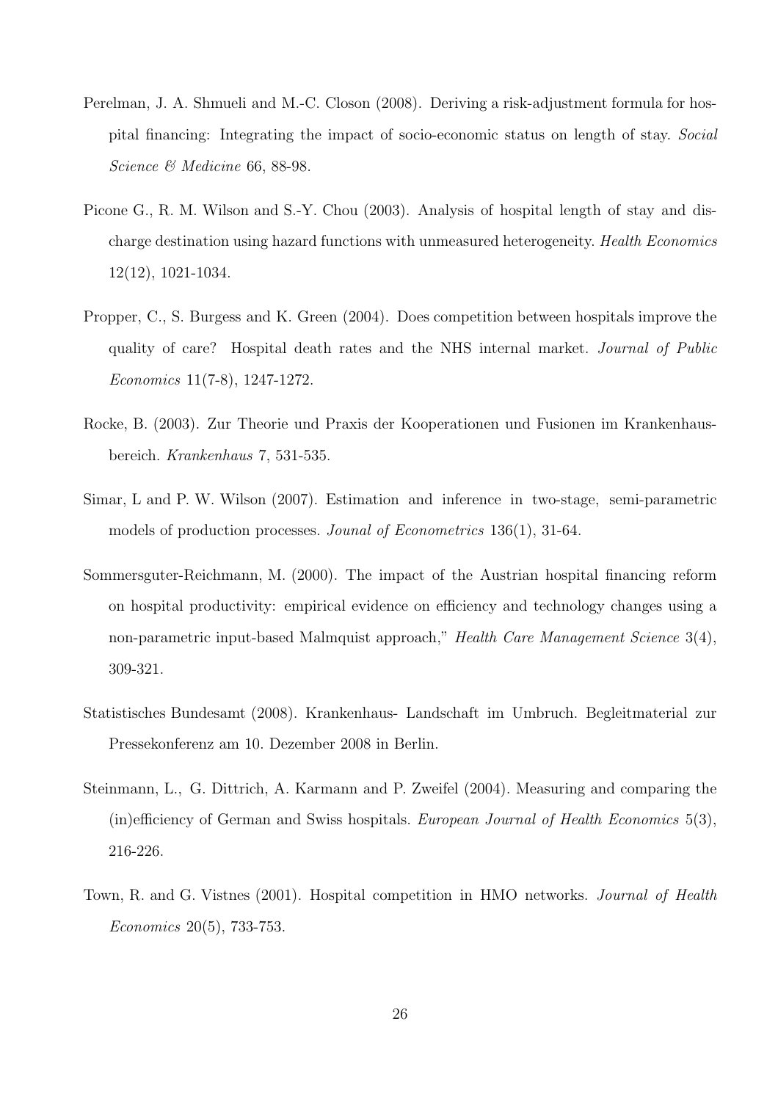- Perelman, J. A. Shmueli and M.-C. Closon (2008). Deriving a risk-adjustment formula for hospital financing: Integrating the impact of socio-economic status on length of stay. Social Science & Medicine 66, 88-98.
- Picone G., R. M. Wilson and S.-Y. Chou (2003). Analysis of hospital length of stay and discharge destination using hazard functions with unmeasured heterogeneity. Health Economics 12(12), 1021-1034.
- Propper, C., S. Burgess and K. Green (2004). Does competition between hospitals improve the quality of care? Hospital death rates and the NHS internal market. Journal of Public Economics 11(7-8), 1247-1272.
- Rocke, B. (2003). Zur Theorie und Praxis der Kooperationen und Fusionen im Krankenhausbereich. Krankenhaus 7, 531-535.
- Simar, L and P. W. Wilson (2007). Estimation and inference in two-stage, semi-parametric models of production processes. Jounal of Econometrics 136(1), 31-64.
- Sommersguter-Reichmann, M. (2000). The impact of the Austrian hospital financing reform on hospital productivity: empirical evidence on efficiency and technology changes using a non-parametric input-based Malmquist approach," Health Care Management Science 3(4), 309-321.
- Statistisches Bundesamt (2008). Krankenhaus- Landschaft im Umbruch. Begleitmaterial zur Pressekonferenz am 10. Dezember 2008 in Berlin.
- Steinmann, L., G. Dittrich, A. Karmann and P. Zweifel (2004). Measuring and comparing the (in)efficiency of German and Swiss hospitals. European Journal of Health Economics 5(3), 216-226.
- Town, R. and G. Vistnes (2001). Hospital competition in HMO networks. Journal of Health Economics 20(5), 733-753.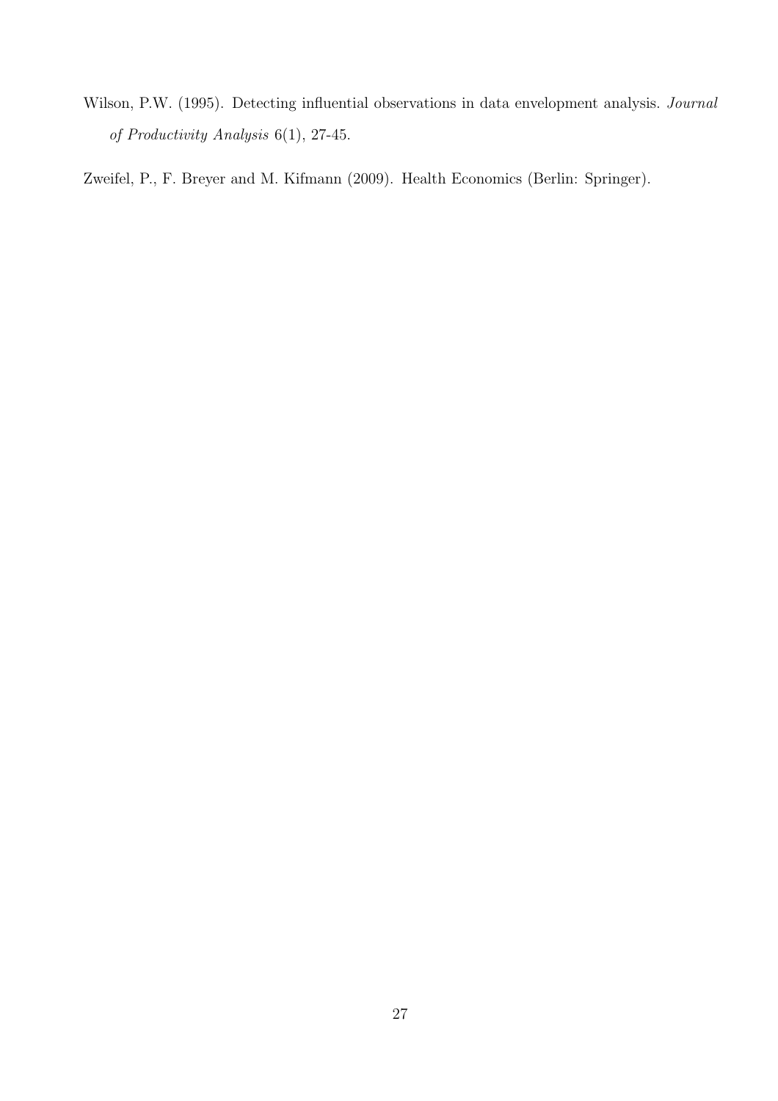Wilson, P.W. (1995). Detecting influential observations in data envelopment analysis. Journal of Productivity Analysis 6(1), 27-45.

Zweifel, P., F. Breyer and M. Kifmann (2009). Health Economics (Berlin: Springer).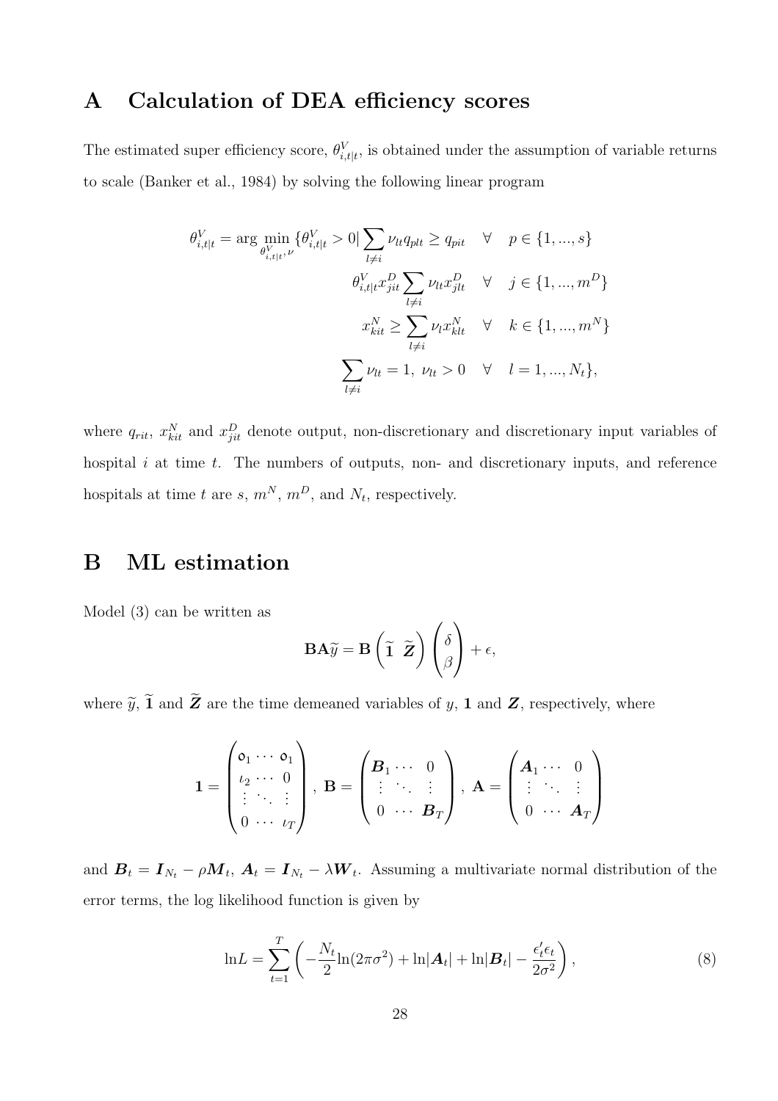## A Calculation of DEA efficiency scores

The estimated super efficiency score,  $\theta_{i, t|t}^{V}$ , is obtained under the assumption of variable returns to scale (Banker et al., 1984) by solving the following linear program

$$
\theta_{i,t|t}^V = \arg \min_{\theta_{i,t|t}^V, \nu} \{\theta_{i,t|t}^V > 0 \mid \sum_{l \neq i} \nu_{lt} q_{plt} \ge q_{pit} \quad \forall \quad p \in \{1, ..., s\}
$$
\n
$$
\theta_{i,t|t}^V x_{jit}^D \sum_{l \neq i} \nu_{lt} x_{jlt}^D \quad \forall \quad j \in \{1, ..., m^D\}
$$
\n
$$
x_{kit}^N \ge \sum_{l \neq i} \nu_l x_{klt}^N \quad \forall \quad k \in \{1, ..., m^N\}
$$
\n
$$
\sum_{l \neq i} \nu_{lt} = 1, \quad \nu_{lt} > 0 \quad \forall \quad l = 1, ..., N_t\},
$$

where  $q_{rit}$ ,  $x_{kit}^N$  and  $x_{jit}^D$  denote output, non-discretionary and discretionary input variables of hospital  $i$  at time  $t$ . The numbers of outputs, non- and discretionary inputs, and reference hospitals at time t are s,  $m^N$ ,  $m^D$ , and  $N_t$ , respectively.

### B ML estimation

Model (3) can be written as

$$
\mathbf{BA}\widetilde{y} = \mathbf{B}\left(\widetilde{\mathbf{1}}\ \widetilde{\mathbf{Z}}\right)\begin{pmatrix} \delta \\ \beta \end{pmatrix} + \epsilon,
$$

where  $\widetilde{y}$ ,  $\widetilde{1}$  and  $\widetilde{Z}$  are the time demeaned variables of y, 1 and  $Z$ , respectively, where

$$
\mathbf{1} = \begin{pmatrix} \mathbf{0}_1 & \cdots & \mathbf{0}_1 \\ \iota_2 & \cdots & 0 \\ \vdots & \ddots & \vdots \\ 0 & \cdots & \iota_T \end{pmatrix}, \ \mathbf{B} = \begin{pmatrix} \mathbf{B}_1 & \cdots & 0 \\ \vdots & \ddots & \vdots \\ 0 & \cdots & \mathbf{B}_T \end{pmatrix}, \ \mathbf{A} = \begin{pmatrix} \mathbf{A}_1 & \cdots & 0 \\ \vdots & \ddots & \vdots \\ 0 & \cdots & \mathbf{A}_T \end{pmatrix}
$$

and  $B_t = I_{N_t} - \rho M_t$ ,  $A_t = I_{N_t} - \lambda W_t$ . Assuming a multivariate normal distribution of the error terms, the log likelihood function is given by

$$
\ln L = \sum_{t=1}^{T} \left( -\frac{N_t}{2} \ln(2\pi\sigma^2) + \ln|\mathbf{A}_t| + \ln|\mathbf{B}_t| - \frac{\epsilon'_t \epsilon_t}{2\sigma^2} \right),\tag{8}
$$